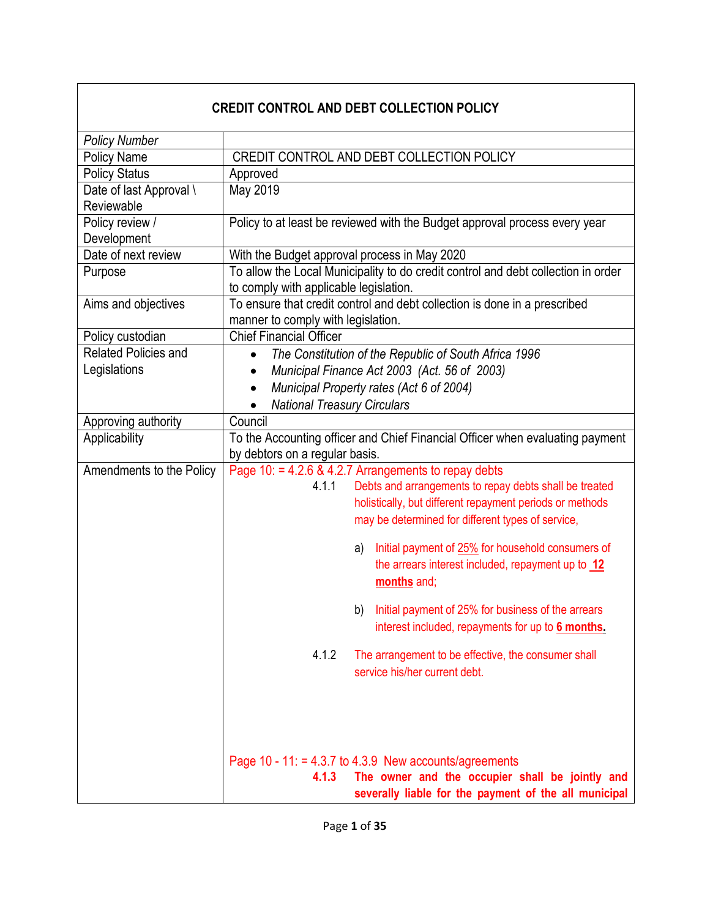# **CREDIT CONTROL AND DEBT COLLECTION POLICY**

| <b>Policy Number</b>        |                                                                                                                    |  |  |  |
|-----------------------------|--------------------------------------------------------------------------------------------------------------------|--|--|--|
| Policy Name                 | CREDIT CONTROL AND DEBT COLLECTION POLICY                                                                          |  |  |  |
| <b>Policy Status</b>        | Approved                                                                                                           |  |  |  |
| Date of last Approval \     | May 2019                                                                                                           |  |  |  |
| Reviewable                  |                                                                                                                    |  |  |  |
| Policy review /             | Policy to at least be reviewed with the Budget approval process every year                                         |  |  |  |
| Development                 |                                                                                                                    |  |  |  |
| Date of next review         | With the Budget approval process in May 2020                                                                       |  |  |  |
| Purpose                     | To allow the Local Municipality to do credit control and debt collection in order                                  |  |  |  |
|                             | to comply with applicable legislation.                                                                             |  |  |  |
| Aims and objectives         | To ensure that credit control and debt collection is done in a prescribed<br>manner to comply with legislation.    |  |  |  |
| Policy custodian            | <b>Chief Financial Officer</b>                                                                                     |  |  |  |
| <b>Related Policies and</b> | The Constitution of the Republic of South Africa 1996<br>$\bullet$                                                 |  |  |  |
| Legislations                | Municipal Finance Act 2003 (Act. 56 of 2003)                                                                       |  |  |  |
|                             | Municipal Property rates (Act 6 of 2004)<br>$\bullet$                                                              |  |  |  |
|                             | <b>National Treasury Circulars</b>                                                                                 |  |  |  |
| Approving authority         | Council                                                                                                            |  |  |  |
| Applicability               | To the Accounting officer and Chief Financial Officer when evaluating payment                                      |  |  |  |
|                             | by debtors on a regular basis.                                                                                     |  |  |  |
| Amendments to the Policy    | Page 10: = 4.2.6 & 4.2.7 Arrangements to repay debts                                                               |  |  |  |
|                             | Debts and arrangements to repay debts shall be treated<br>4.1.1                                                    |  |  |  |
|                             | holistically, but different repayment periods or methods                                                           |  |  |  |
|                             | may be determined for different types of service,                                                                  |  |  |  |
|                             | Initial payment of 25% for household consumers of<br>a)                                                            |  |  |  |
|                             | the arrears interest included, repayment up to 12                                                                  |  |  |  |
|                             | months and;                                                                                                        |  |  |  |
|                             |                                                                                                                    |  |  |  |
|                             | Initial payment of 25% for business of the arrears<br>b)                                                           |  |  |  |
|                             | interest included, repayments for up to 6 months.                                                                  |  |  |  |
|                             | 4.1.2<br>The arrangement to be effective, the consumer shall                                                       |  |  |  |
|                             | service his/her current debt.                                                                                      |  |  |  |
|                             |                                                                                                                    |  |  |  |
|                             |                                                                                                                    |  |  |  |
|                             |                                                                                                                    |  |  |  |
|                             |                                                                                                                    |  |  |  |
|                             | Page 10 - 11: = 4.3.7 to 4.3.9 New accounts/agreements<br>The owner and the occupier shall be jointly and<br>4.1.3 |  |  |  |
|                             |                                                                                                                    |  |  |  |
|                             | severally liable for the payment of the all municipal                                                              |  |  |  |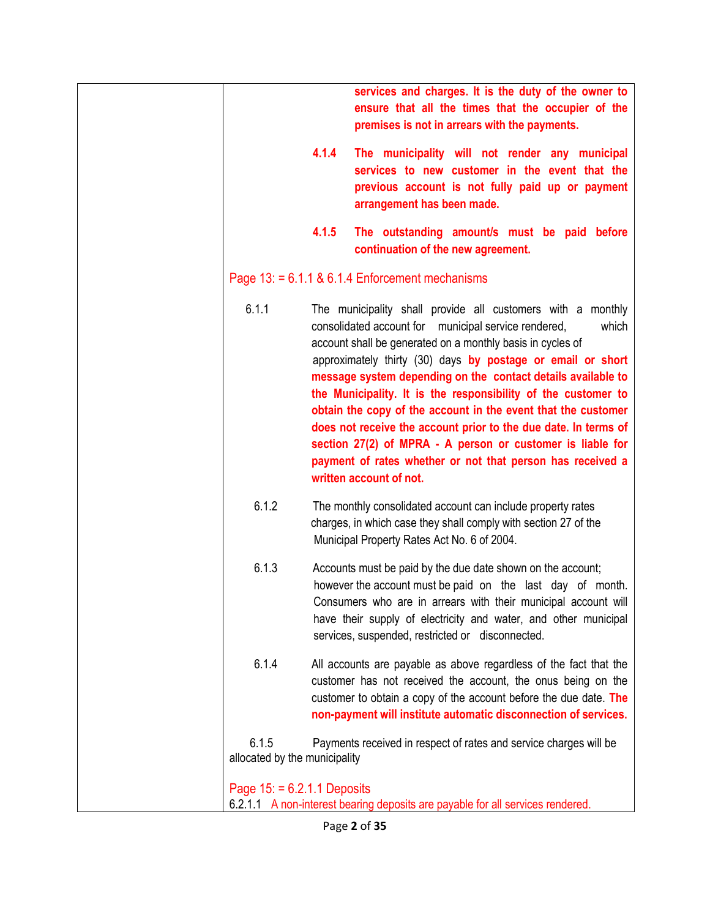|                                        |       | services and charges. It is the duty of the owner to<br>ensure that all the times that the occupier of the<br>premises is not in arrears with the payments.                                                                                                                                                                                                                                                                                                                                                                                                                                                                                                                           |
|----------------------------------------|-------|---------------------------------------------------------------------------------------------------------------------------------------------------------------------------------------------------------------------------------------------------------------------------------------------------------------------------------------------------------------------------------------------------------------------------------------------------------------------------------------------------------------------------------------------------------------------------------------------------------------------------------------------------------------------------------------|
|                                        | 4.1.4 | The municipality will not render any municipal<br>services to new customer in the event that the<br>previous account is not fully paid up or payment<br>arrangement has been made.                                                                                                                                                                                                                                                                                                                                                                                                                                                                                                    |
|                                        | 4.1.5 | The outstanding amount/s must be paid before<br>continuation of the new agreement.                                                                                                                                                                                                                                                                                                                                                                                                                                                                                                                                                                                                    |
|                                        |       | Page $13: = 6.1.1$ & 6.1.4 Enforcement mechanisms                                                                                                                                                                                                                                                                                                                                                                                                                                                                                                                                                                                                                                     |
| 6.1.1                                  |       | The municipality shall provide all customers with a monthly<br>consolidated account for municipal service rendered,<br>which<br>account shall be generated on a monthly basis in cycles of<br>approximately thirty (30) days by postage or email or short<br>message system depending on the contact details available to<br>the Municipality. It is the responsibility of the customer to<br>obtain the copy of the account in the event that the customer<br>does not receive the account prior to the due date. In terms of<br>section 27(2) of MPRA - A person or customer is liable for<br>payment of rates whether or not that person has received a<br>written account of not. |
| 6.1.2                                  |       | The monthly consolidated account can include property rates<br>charges, in which case they shall comply with section 27 of the<br>Municipal Property Rates Act No. 6 of 2004.                                                                                                                                                                                                                                                                                                                                                                                                                                                                                                         |
| 6.1.3                                  |       | Accounts must be paid by the due date shown on the account;<br>however the account must be paid on the last day of month.<br>Consumers who are in arrears with their municipal account will<br>have their supply of electricity and water, and other municipal<br>services, suspended, restricted or disconnected.                                                                                                                                                                                                                                                                                                                                                                    |
| 6.1.4                                  |       | All accounts are payable as above regardless of the fact that the<br>customer has not received the account, the onus being on the<br>customer to obtain a copy of the account before the due date. The<br>non-payment will institute automatic disconnection of services.                                                                                                                                                                                                                                                                                                                                                                                                             |
| 6.1.5<br>allocated by the municipality |       | Payments received in respect of rates and service charges will be                                                                                                                                                                                                                                                                                                                                                                                                                                                                                                                                                                                                                     |
| Page $15: = 6.2.1.1$ Deposits          |       | 6.2.1.1 A non-interest bearing deposits are payable for all services rendered.                                                                                                                                                                                                                                                                                                                                                                                                                                                                                                                                                                                                        |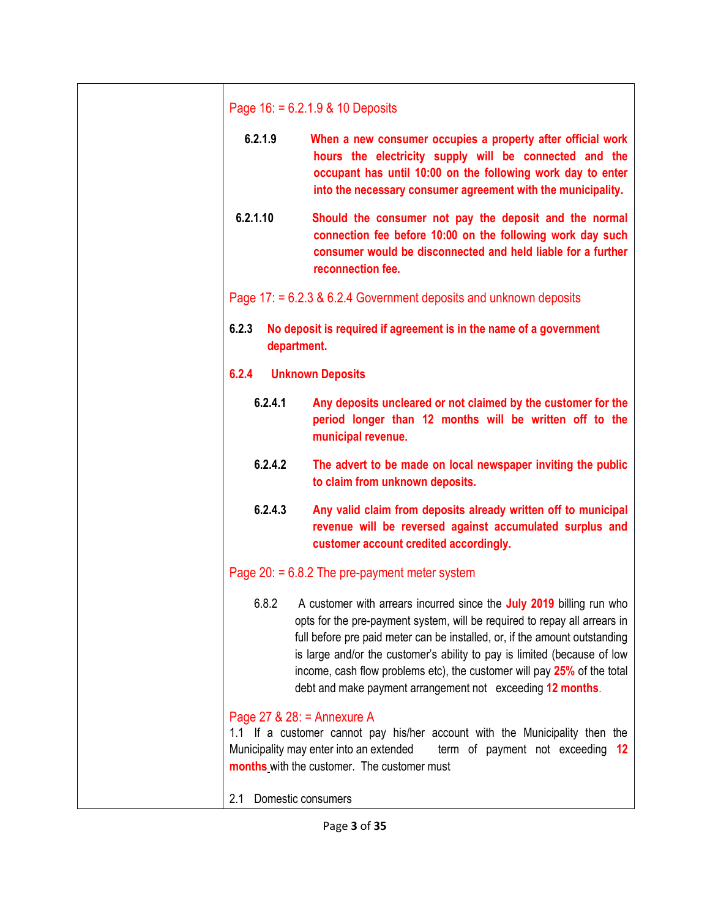| Page $16: = 6.2.1.9$ & 10 Deposits |                                                                                                                                                                                                                                                                                                                                                                                                                                                      |  |  |
|------------------------------------|------------------------------------------------------------------------------------------------------------------------------------------------------------------------------------------------------------------------------------------------------------------------------------------------------------------------------------------------------------------------------------------------------------------------------------------------------|--|--|
| 6.2.1.9                            | When a new consumer occupies a property after official work<br>hours the electricity supply will be connected and the<br>occupant has until 10:00 on the following work day to enter<br>into the necessary consumer agreement with the municipality.                                                                                                                                                                                                 |  |  |
| 6.2.1.10                           | Should the consumer not pay the deposit and the normal<br>connection fee before 10:00 on the following work day such<br>consumer would be disconnected and held liable for a further<br>reconnection fee.                                                                                                                                                                                                                                            |  |  |
|                                    | Page $17: = 6.2.3 \& 6.2.4$ Government deposits and unknown deposits                                                                                                                                                                                                                                                                                                                                                                                 |  |  |
| 6.2.3<br>department.               | No deposit is required if agreement is in the name of a government                                                                                                                                                                                                                                                                                                                                                                                   |  |  |
| 6.2.4                              | <b>Unknown Deposits</b>                                                                                                                                                                                                                                                                                                                                                                                                                              |  |  |
| 6.2.4.1                            | Any deposits uncleared or not claimed by the customer for the<br>period longer than 12 months will be written off to the<br>municipal revenue.                                                                                                                                                                                                                                                                                                       |  |  |
| 6.2.4.2                            | The advert to be made on local newspaper inviting the public<br>to claim from unknown deposits.                                                                                                                                                                                                                                                                                                                                                      |  |  |
| 6.2.4.3                            | Any valid claim from deposits already written off to municipal<br>revenue will be reversed against accumulated surplus and<br>customer account credited accordingly.                                                                                                                                                                                                                                                                                 |  |  |
|                                    | Page $20: = 6.8.2$ The pre-payment meter system                                                                                                                                                                                                                                                                                                                                                                                                      |  |  |
| 6.8.2                              | A customer with arrears incurred since the July 2019 billing run who<br>opts for the pre-payment system, will be required to repay all arrears in<br>full before pre paid meter can be installed, or, if the amount outstanding<br>is large and/or the customer's ability to pay is limited (because of low<br>income, cash flow problems etc), the customer will pay 25% of the total<br>debt and make payment arrangement not exceeding 12 months. |  |  |
| Page $27$ & $28$ : = Annexure A    | 1.1 If a customer cannot pay his/her account with the Municipality then the<br>term of payment not exceeding 12<br>Municipality may enter into an extended<br>months with the customer. The customer must                                                                                                                                                                                                                                            |  |  |
| Domestic consumers<br>2.1          |                                                                                                                                                                                                                                                                                                                                                                                                                                                      |  |  |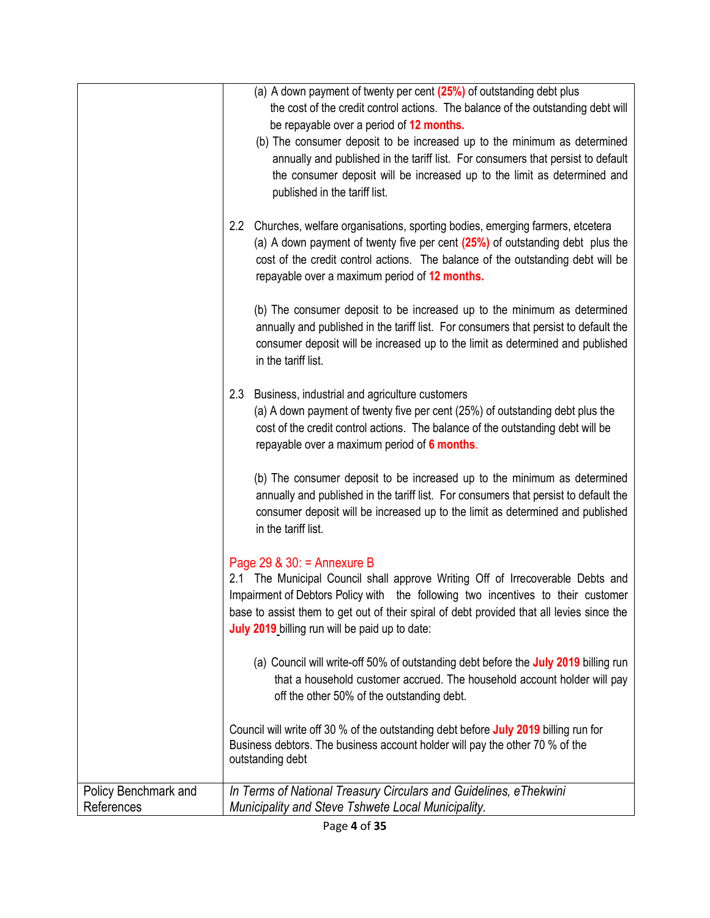|                                    | (a) A down payment of twenty per cent (25%) of outstanding debt plus<br>the cost of the credit control actions. The balance of the outstanding debt will<br>be repayable over a period of 12 months.<br>(b) The consumer deposit to be increased up to the minimum as determined<br>annually and published in the tariff list. For consumers that persist to default<br>the consumer deposit will be increased up to the limit as determined and<br>published in the tariff list. |
|------------------------------------|-----------------------------------------------------------------------------------------------------------------------------------------------------------------------------------------------------------------------------------------------------------------------------------------------------------------------------------------------------------------------------------------------------------------------------------------------------------------------------------|
|                                    | 2.2<br>Churches, welfare organisations, sporting bodies, emerging farmers, etcetera<br>(a) A down payment of twenty five per cent $(25%)$ of outstanding debt plus the<br>cost of the credit control actions. The balance of the outstanding debt will be<br>repayable over a maximum period of 12 months.                                                                                                                                                                        |
|                                    | (b) The consumer deposit to be increased up to the minimum as determined<br>annually and published in the tariff list. For consumers that persist to default the<br>consumer deposit will be increased up to the limit as determined and published<br>in the tariff list.                                                                                                                                                                                                         |
|                                    | Business, industrial and agriculture customers<br>2.3<br>(a) A down payment of twenty five per cent (25%) of outstanding debt plus the<br>cost of the credit control actions. The balance of the outstanding debt will be<br>repayable over a maximum period of 6 months.                                                                                                                                                                                                         |
|                                    | (b) The consumer deposit to be increased up to the minimum as determined<br>annually and published in the tariff list. For consumers that persist to default the<br>consumer deposit will be increased up to the limit as determined and published<br>in the tariff list.                                                                                                                                                                                                         |
|                                    | Page 29 & $30:$ = Annexure B<br>2.1 The Municipal Council shall approve Writing Off of Irrecoverable Debts and<br>Impairment of Debtors Policy with the following two incentives to their customer<br>base to assist them to get out of their spiral of debt provided that all levies since the<br>July 2019 billing run will be paid up to date:                                                                                                                                 |
|                                    | (a) Council will write-off 50% of outstanding debt before the July 2019 billing run<br>that a household customer accrued. The household account holder will pay<br>off the other 50% of the outstanding debt.                                                                                                                                                                                                                                                                     |
|                                    | Council will write off 30 % of the outstanding debt before July 2019 billing run for<br>Business debtors. The business account holder will pay the other 70 % of the<br>outstanding debt                                                                                                                                                                                                                                                                                          |
| Policy Benchmark and<br>References | In Terms of National Treasury Circulars and Guidelines, eThekwini<br>Municipality and Steve Tshwete Local Municipality.                                                                                                                                                                                                                                                                                                                                                           |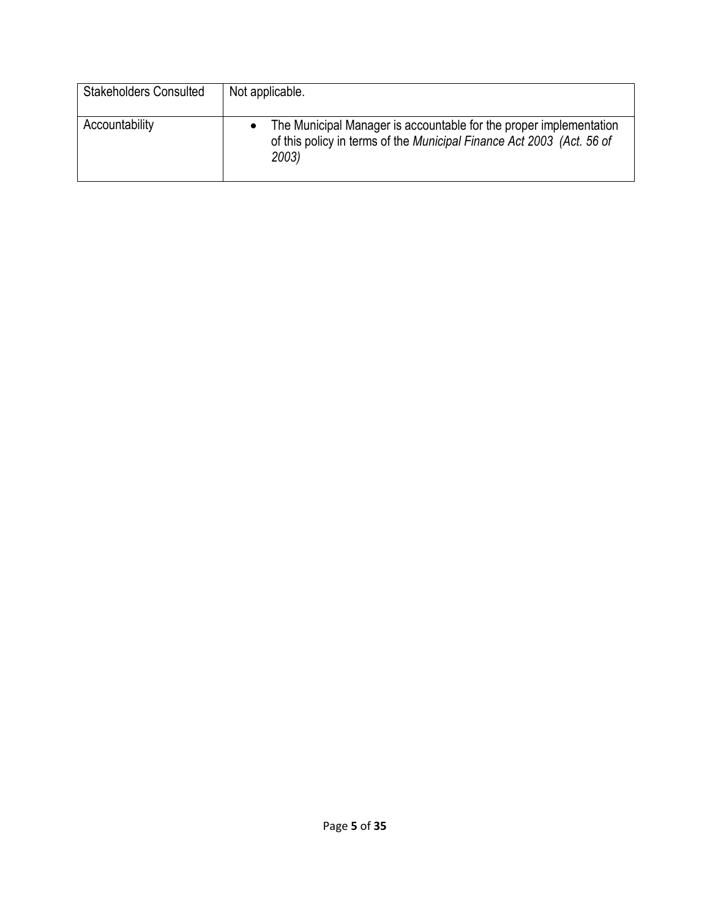| <b>Stakeholders Consulted</b> | Not applicable.                                                                                                                                      |
|-------------------------------|------------------------------------------------------------------------------------------------------------------------------------------------------|
| Accountability                | The Municipal Manager is accountable for the proper implementation<br>of this policy in terms of the Municipal Finance Act 2003 (Act. 56 of<br>2003) |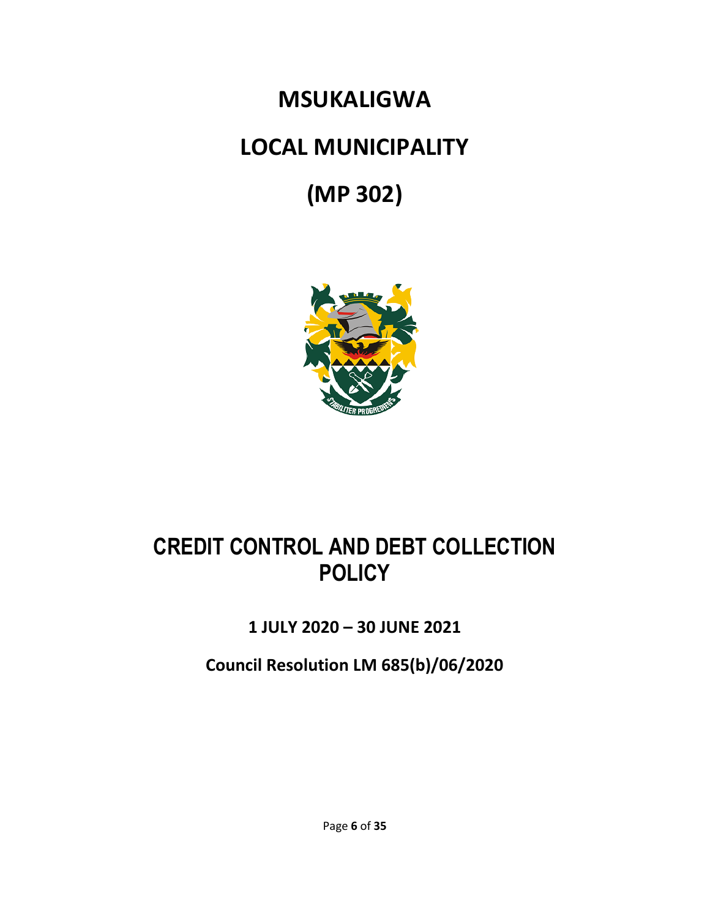# **MSUKALIGWA LOCAL MUNICIPALITY (MP 302)**



# **CREDIT CONTROL AND DEBT COLLECTION POLICY**

# **1 JULY 2020 – 30 JUNE 2021**

**Council Resolution LM 685(b)/06/2020**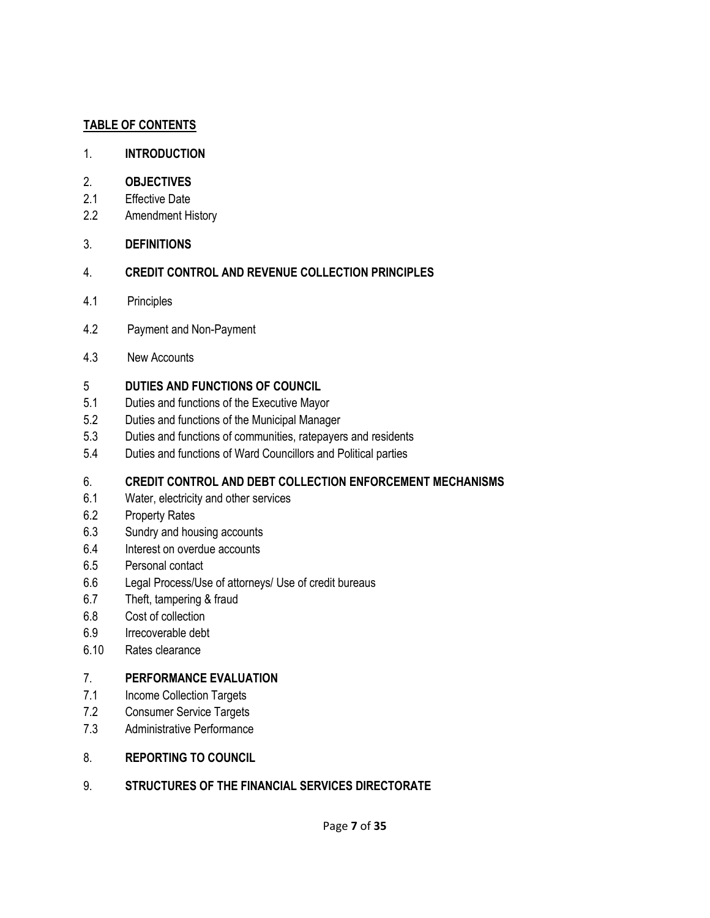#### **TABLE OF CONTENTS**

#### 1. **INTRODUCTION**

#### 2. **OBJECTIVES**

- 2.1 Effective Date
- 2.2 Amendment History
- 3. **DEFINITIONS**

#### 4. **CREDIT CONTROL AND REVENUE COLLECTION PRINCIPLES**

- 4.1 Principles
- 4.2 Payment and Non-Payment
- 4.3 New Accounts

#### 5 **DUTIES AND FUNCTIONS OF COUNCIL**

- 5.1 Duties and functions of the Executive Mayor
- 5.2 Duties and functions of the Municipal Manager
- 5.3 Duties and functions of communities, ratepayers and residents
- 5.4 Duties and functions of Ward Councillors and Political parties

#### 6. **CREDIT CONTROL AND DEBT COLLECTION ENFORCEMENT MECHANISMS**

- 6.1 Water, electricity and other services
- 6.2 Property Rates
- 6.3 Sundry and housing accounts
- 6.4 Interest on overdue accounts
- 6.5 Personal contact
- 6.6 Legal Process/Use of attorneys/ Use of credit bureaus
- 6.7 Theft, tampering & fraud
- 6.8 Cost of collection
- 6.9 Irrecoverable debt
- 6.10 Rates clearance

#### 7. **PERFORMANCE EVALUATION**

- 7.1 Income Collection Targets
- 7.2 Consumer Service Targets
- 7.3 Administrative Performance

#### 8. **REPORTING TO COUNCIL**

#### 9. **STRUCTURES OF THE FINANCIAL SERVICES DIRECTORATE**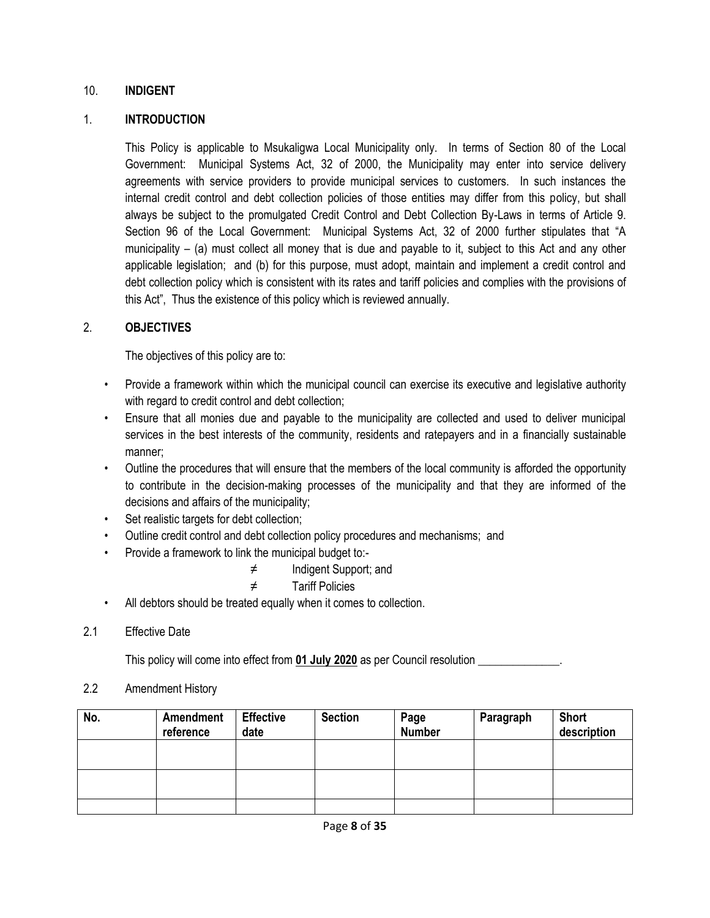#### 10. **INDIGENT**

#### 1. **INTRODUCTION**

This Policy is applicable to Msukaligwa Local Municipality only. In terms of Section 80 of the Local Government: Municipal Systems Act, 32 of 2000, the Municipality may enter into service delivery agreements with service providers to provide municipal services to customers. In such instances the internal credit control and debt collection policies of those entities may differ from this policy, but shall always be subject to the promulgated Credit Control and Debt Collection By-Laws in terms of Article 9. Section 96 of the Local Government: Municipal Systems Act, 32 of 2000 further stipulates that "A municipality – (a) must collect all money that is due and payable to it, subject to this Act and any other applicable legislation; and (b) for this purpose, must adopt, maintain and implement a credit control and debt collection policy which is consistent with its rates and tariff policies and complies with the provisions of this Act", Thus the existence of this policy which is reviewed annually.

#### 2. **OBJECTIVES**

The objectives of this policy are to:

- Provide a framework within which the municipal council can exercise its executive and legislative authority with regard to credit control and debt collection;
- Ensure that all monies due and payable to the municipality are collected and used to deliver municipal services in the best interests of the community, residents and ratepayers and in a financially sustainable manner;
- Outline the procedures that will ensure that the members of the local community is afforded the opportunity to contribute in the decision-making processes of the municipality and that they are informed of the decisions and affairs of the municipality;
- Set realistic targets for debt collection;
- Outline credit control and debt collection policy procedures and mechanisms; and
- Provide a framework to link the municipal budget to:-
	- ≠ Indigent Support; and
	- ≠ Tariff Policies
- All debtors should be treated equally when it comes to collection.
- 2.1 Effective Date

This policy will come into effect from **01 July 2020** as per Council resolution \_\_\_\_\_\_\_\_\_\_\_\_\_\_.

2.2 Amendment History

| No. | Amendment<br>reference | <b>Effective</b><br>date | <b>Section</b> | Page<br><b>Number</b> | Paragraph | <b>Short</b><br>description |
|-----|------------------------|--------------------------|----------------|-----------------------|-----------|-----------------------------|
|     |                        |                          |                |                       |           |                             |
|     |                        |                          |                |                       |           |                             |
|     |                        |                          |                |                       |           |                             |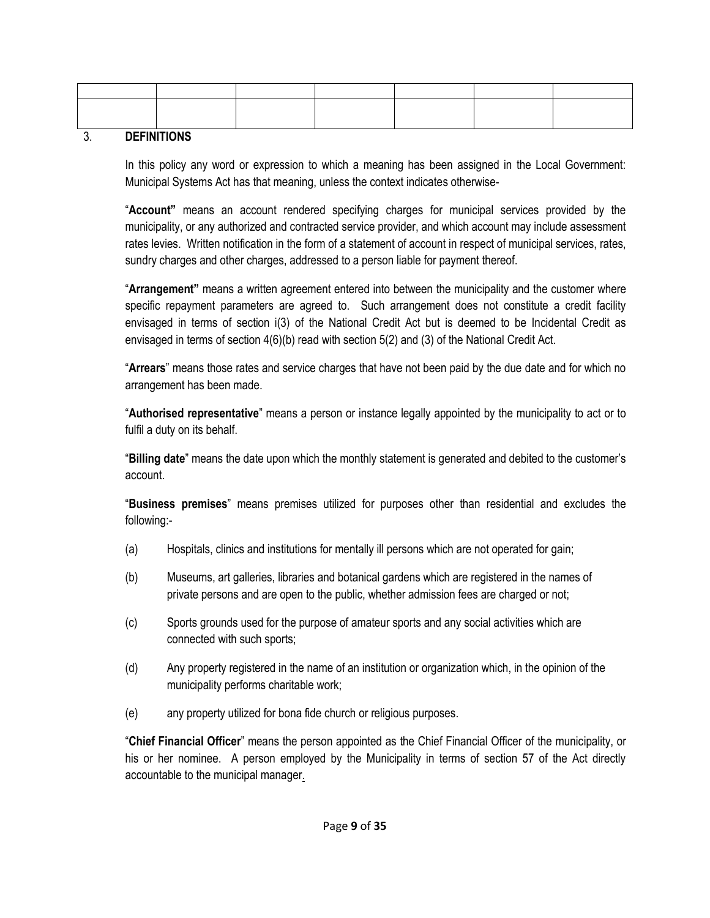| $- - - - - - - - - - - - -$ |  |  |  |
|-----------------------------|--|--|--|

#### 3. **DEFINITIONS**

In this policy any word or expression to which a meaning has been assigned in the Local Government: Municipal Systems Act has that meaning, unless the context indicates otherwise-

"**Account"** means an account rendered specifying charges for municipal services provided by the municipality, or any authorized and contracted service provider, and which account may include assessment rates levies. Written notification in the form of a statement of account in respect of municipal services, rates, sundry charges and other charges, addressed to a person liable for payment thereof.

"**Arrangement"** means a written agreement entered into between the municipality and the customer where specific repayment parameters are agreed to. Such arrangement does not constitute a credit facility envisaged in terms of section i(3) of the National Credit Act but is deemed to be Incidental Credit as envisaged in terms of section 4(6)(b) read with section 5(2) and (3) of the National Credit Act.

"**Arrears**" means those rates and service charges that have not been paid by the due date and for which no arrangement has been made.

"**Authorised representative**" means a person or instance legally appointed by the municipality to act or to fulfil a duty on its behalf.

"**Billing date**" means the date upon which the monthly statement is generated and debited to the customer's account.

"**Business premises**" means premises utilized for purposes other than residential and excludes the following:-

- (a) Hospitals, clinics and institutions for mentally ill persons which are not operated for gain;
- (b) Museums, art galleries, libraries and botanical gardens which are registered in the names of private persons and are open to the public, whether admission fees are charged or not;
- (c) Sports grounds used for the purpose of amateur sports and any social activities which are connected with such sports;
- (d) Any property registered in the name of an institution or organization which, in the opinion of the municipality performs charitable work;
- (e) any property utilized for bona fide church or religious purposes.

"**Chief Financial Officer**" means the person appointed as the Chief Financial Officer of the municipality, or his or her nominee. A person employed by the Municipality in terms of section 57 of the Act directly accountable to the municipal manager.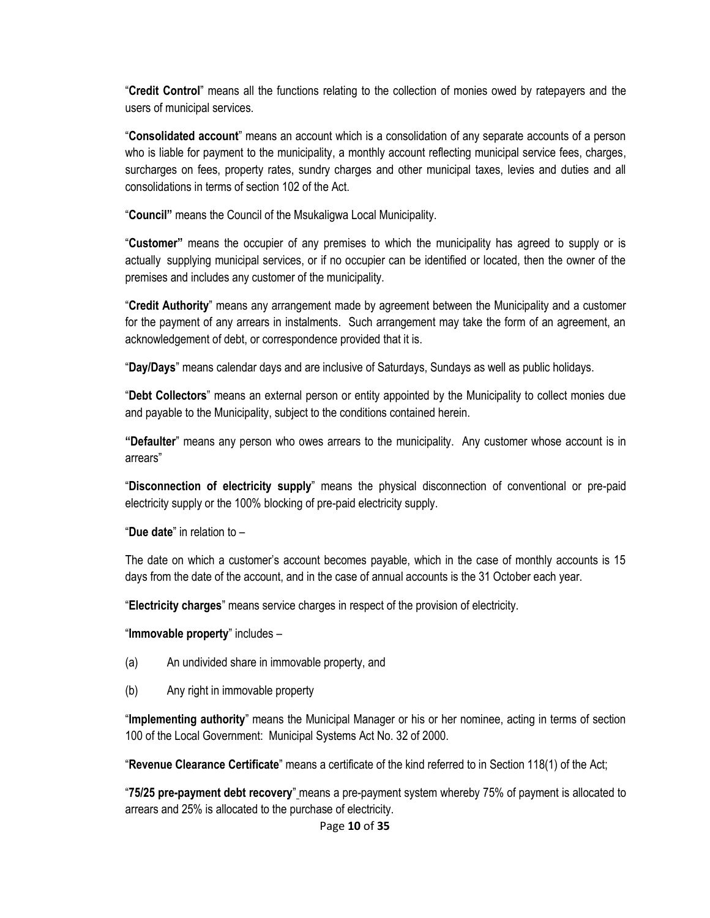"**Credit Control**" means all the functions relating to the collection of monies owed by ratepayers and the users of municipal services.

"**Consolidated account**" means an account which is a consolidation of any separate accounts of a person who is liable for payment to the municipality, a monthly account reflecting municipal service fees, charges, surcharges on fees, property rates, sundry charges and other municipal taxes, levies and duties and all consolidations in terms of section 102 of the Act.

"**Council"** means the Council of the Msukaligwa Local Municipality.

"**Customer"** means the occupier of any premises to which the municipality has agreed to supply or is actually supplying municipal services, or if no occupier can be identified or located, then the owner of the premises and includes any customer of the municipality.

"**Credit Authority**" means any arrangement made by agreement between the Municipality and a customer for the payment of any arrears in instalments. Such arrangement may take the form of an agreement, an acknowledgement of debt, or correspondence provided that it is.

"**Day/Days**" means calendar days and are inclusive of Saturdays, Sundays as well as public holidays.

"**Debt Collectors**" means an external person or entity appointed by the Municipality to collect monies due and payable to the Municipality, subject to the conditions contained herein.

**"Defaulter**" means any person who owes arrears to the municipality. Any customer whose account is in arrears"

"**Disconnection of electricity supply**" means the physical disconnection of conventional or pre-paid electricity supply or the 100% blocking of pre-paid electricity supply.

"**Due date**" in relation to –

The date on which a customer's account becomes payable, which in the case of monthly accounts is 15 days from the date of the account, and in the case of annual accounts is the 31 October each year.

"**Electricity charges**" means service charges in respect of the provision of electricity.

"**Immovable property**" includes –

- (a) An undivided share in immovable property, and
- (b) Any right in immovable property

"**Implementing authority**" means the Municipal Manager or his or her nominee, acting in terms of section 100 of the Local Government: Municipal Systems Act No. 32 of 2000.

"**Revenue Clearance Certificate**" means a certificate of the kind referred to in Section 118(1) of the Act;

"**75/25 pre-payment debt recovery**" means a pre-payment system whereby 75% of payment is allocated to arrears and 25% is allocated to the purchase of electricity.

Page **10** of **35**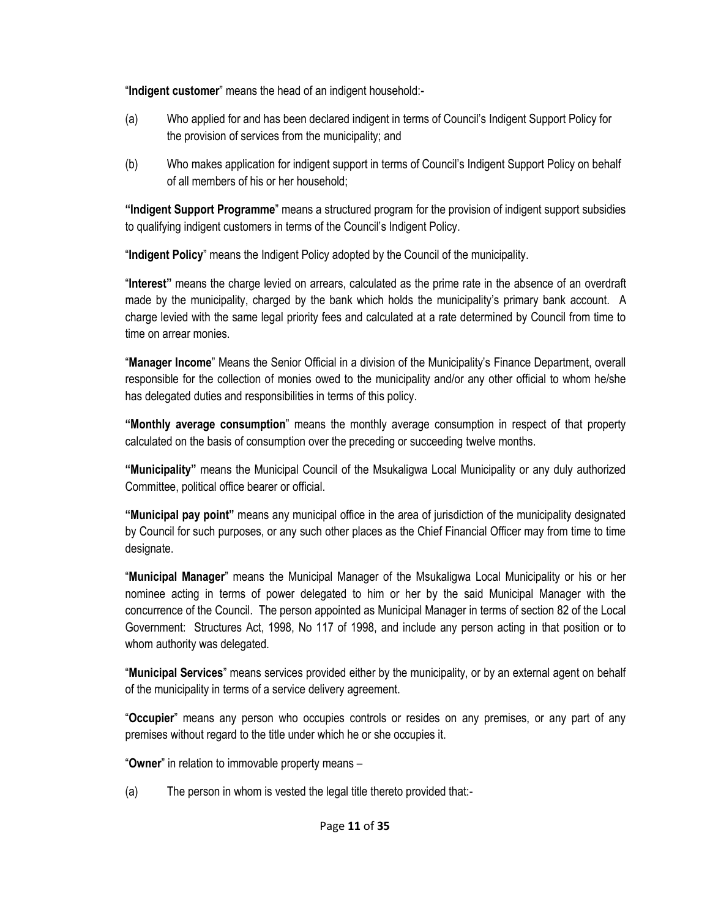"**Indigent customer**" means the head of an indigent household:-

- (a) Who applied for and has been declared indigent in terms of Council's Indigent Support Policy for the provision of services from the municipality; and
- (b) Who makes application for indigent support in terms of Council's Indigent Support Policy on behalf of all members of his or her household;

**"Indigent Support Programme**" means a structured program for the provision of indigent support subsidies to qualifying indigent customers in terms of the Council's Indigent Policy.

"**Indigent Policy**" means the Indigent Policy adopted by the Council of the municipality.

"**Interest"** means the charge levied on arrears, calculated as the prime rate in the absence of an overdraft made by the municipality, charged by the bank which holds the municipality's primary bank account. A charge levied with the same legal priority fees and calculated at a rate determined by Council from time to time on arrear monies.

"**Manager Income**" Means the Senior Official in a division of the Municipality's Finance Department, overall responsible for the collection of monies owed to the municipality and/or any other official to whom he/she has delegated duties and responsibilities in terms of this policy.

**"Monthly average consumption**" means the monthly average consumption in respect of that property calculated on the basis of consumption over the preceding or succeeding twelve months.

**"Municipality"** means the Municipal Council of the Msukaligwa Local Municipality or any duly authorized Committee, political office bearer or official.

**"Municipal pay point"** means any municipal office in the area of jurisdiction of the municipality designated by Council for such purposes, or any such other places as the Chief Financial Officer may from time to time designate.

"**Municipal Manager**" means the Municipal Manager of the Msukaligwa Local Municipality or his or her nominee acting in terms of power delegated to him or her by the said Municipal Manager with the concurrence of the Council. The person appointed as Municipal Manager in terms of section 82 of the Local Government: Structures Act, 1998, No 117 of 1998, and include any person acting in that position or to whom authority was delegated.

"**Municipal Services**" means services provided either by the municipality, or by an external agent on behalf of the municipality in terms of a service delivery agreement.

"**Occupier**" means any person who occupies controls or resides on any premises, or any part of any premises without regard to the title under which he or she occupies it.

"**Owner**" in relation to immovable property means –

(a) The person in whom is vested the legal title thereto provided that:-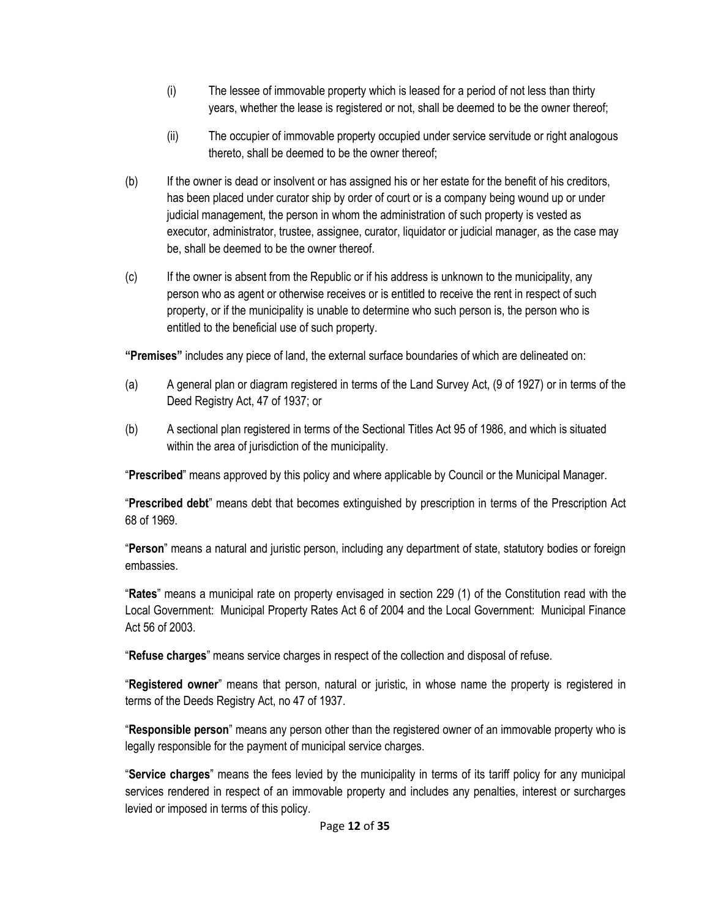- (i) The lessee of immovable property which is leased for a period of not less than thirty years, whether the lease is registered or not, shall be deemed to be the owner thereof;
- (ii) The occupier of immovable property occupied under service servitude or right analogous thereto, shall be deemed to be the owner thereof;
- (b) If the owner is dead or insolvent or has assigned his or her estate for the benefit of his creditors, has been placed under curator ship by order of court or is a company being wound up or under judicial management, the person in whom the administration of such property is vested as executor, administrator, trustee, assignee, curator, liquidator or judicial manager, as the case may be, shall be deemed to be the owner thereof.
- (c) If the owner is absent from the Republic or if his address is unknown to the municipality, any person who as agent or otherwise receives or is entitled to receive the rent in respect of such property, or if the municipality is unable to determine who such person is, the person who is entitled to the beneficial use of such property.

**"Premises"** includes any piece of land, the external surface boundaries of which are delineated on:

- (a) A general plan or diagram registered in terms of the Land Survey Act, (9 of 1927) or in terms of the Deed Registry Act, 47 of 1937; or
- (b) A sectional plan registered in terms of the Sectional Titles Act 95 of 1986, and which is situated within the area of jurisdiction of the municipality.

"**Prescribed**" means approved by this policy and where applicable by Council or the Municipal Manager.

"**Prescribed debt**" means debt that becomes extinguished by prescription in terms of the Prescription Act 68 of 1969.

"**Person**" means a natural and juristic person, including any department of state, statutory bodies or foreign embassies.

"**Rates**" means a municipal rate on property envisaged in section 229 (1) of the Constitution read with the Local Government: Municipal Property Rates Act 6 of 2004 and the Local Government: Municipal Finance Act 56 of 2003.

"**Refuse charges**" means service charges in respect of the collection and disposal of refuse.

"**Registered owner**" means that person, natural or juristic, in whose name the property is registered in terms of the Deeds Registry Act, no 47 of 1937.

"**Responsible person**" means any person other than the registered owner of an immovable property who is legally responsible for the payment of municipal service charges.

"**Service charges**" means the fees levied by the municipality in terms of its tariff policy for any municipal services rendered in respect of an immovable property and includes any penalties, interest or surcharges levied or imposed in terms of this policy.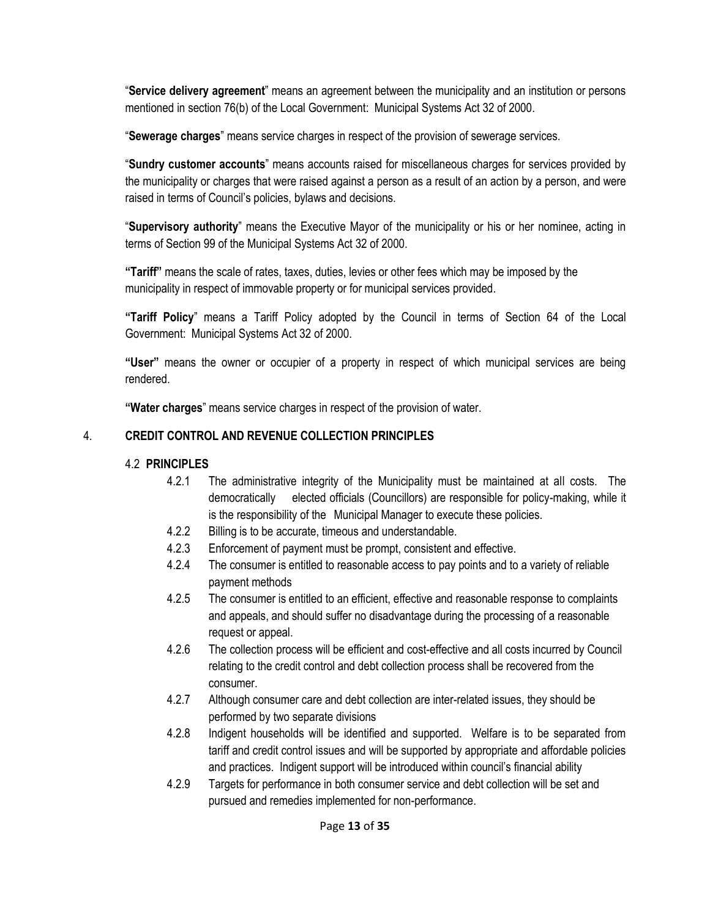"**Service delivery agreement**" means an agreement between the municipality and an institution or persons mentioned in section 76(b) of the Local Government: Municipal Systems Act 32 of 2000.

"**Sewerage charges**" means service charges in respect of the provision of sewerage services.

"**Sundry customer accounts**" means accounts raised for miscellaneous charges for services provided by the municipality or charges that were raised against a person as a result of an action by a person, and were raised in terms of Council's policies, bylaws and decisions.

"**Supervisory authority**" means the Executive Mayor of the municipality or his or her nominee, acting in terms of Section 99 of the Municipal Systems Act 32 of 2000.

**"Tariff"** means the scale of rates, taxes, duties, levies or other fees which may be imposed by the municipality in respect of immovable property or for municipal services provided.

**"Tariff Policy**" means a Tariff Policy adopted by the Council in terms of Section 64 of the Local Government: Municipal Systems Act 32 of 2000.

**"User"** means the owner or occupier of a property in respect of which municipal services are being rendered.

**"Water charges**" means service charges in respect of the provision of water.

# 4. **CREDIT CONTROL AND REVENUE COLLECTION PRINCIPLES**

# 4.2 **PRINCIPLES**

- 4.2.1 The administrative integrity of the Municipality must be maintained at all costs. The democratically elected officials (Councillors) are responsible for policy-making, while it is the responsibility of the Municipal Manager to execute these policies.
- 4.2.2 Billing is to be accurate, timeous and understandable.
- 4.2.3 Enforcement of payment must be prompt, consistent and effective.
- 4.2.4 The consumer is entitled to reasonable access to pay points and to a variety of reliable payment methods
- 4.2.5 The consumer is entitled to an efficient, effective and reasonable response to complaints and appeals, and should suffer no disadvantage during the processing of a reasonable request or appeal.
- 4.2.6 The collection process will be efficient and cost-effective and all costs incurred by Council relating to the credit control and debt collection process shall be recovered from the consumer.
- 4.2.7 Although consumer care and debt collection are inter-related issues, they should be performed by two separate divisions
- 4.2.8 Indigent households will be identified and supported. Welfare is to be separated from tariff and credit control issues and will be supported by appropriate and affordable policies and practices. Indigent support will be introduced within council's financial ability
- 4.2.9 Targets for performance in both consumer service and debt collection will be set and pursued and remedies implemented for non-performance.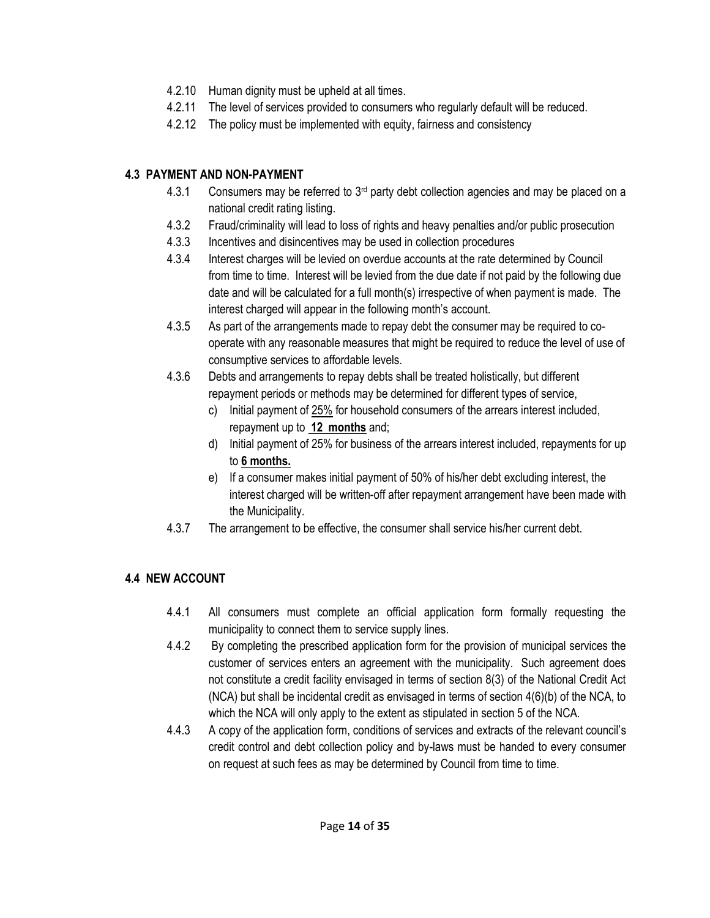- 4.2.10 Human dignity must be upheld at all times.
- 4.2.11 The level of services provided to consumers who regularly default will be reduced.
- 4.2.12 The policy must be implemented with equity, fairness and consistency

# **4.3 PAYMENT AND NON-PAYMENT**

- 4.3.1 Consumers may be referred to  $3<sup>rd</sup>$  party debt collection agencies and may be placed on a national credit rating listing.
- 4.3.2 Fraud/criminality will lead to loss of rights and heavy penalties and/or public prosecution
- 4.3.3 Incentives and disincentives may be used in collection procedures
- 4.3.4 Interest charges will be levied on overdue accounts at the rate determined by Council from time to time. Interest will be levied from the due date if not paid by the following due date and will be calculated for a full month(s) irrespective of when payment is made. The interest charged will appear in the following month's account.
- 4.3.5 As part of the arrangements made to repay debt the consumer may be required to cooperate with any reasonable measures that might be required to reduce the level of use of consumptive services to affordable levels.
- 4.3.6 Debts and arrangements to repay debts shall be treated holistically, but different repayment periods or methods may be determined for different types of service,
	- c) Initial payment of  $25\%$  for household consumers of the arrears interest included, repayment up to **12 months** and;
	- d) Initial payment of 25% for business of the arrears interest included, repayments for up to **6 months.**
	- e) If a consumer makes initial payment of 50% of his/her debt excluding interest, the interest charged will be written-off after repayment arrangement have been made with the Municipality.
- 4.3.7 The arrangement to be effective, the consumer shall service his/her current debt.

# **4.4 NEW ACCOUNT**

- 4.4.1 All consumers must complete an official application form formally requesting the municipality to connect them to service supply lines.
- 4.4.2 By completing the prescribed application form for the provision of municipal services the customer of services enters an agreement with the municipality. Such agreement does not constitute a credit facility envisaged in terms of section 8(3) of the National Credit Act (NCA) but shall be incidental credit as envisaged in terms of section 4(6)(b) of the NCA, to which the NCA will only apply to the extent as stipulated in section 5 of the NCA.
- 4.4.3 A copy of the application form, conditions of services and extracts of the relevant council's credit control and debt collection policy and by-laws must be handed to every consumer on request at such fees as may be determined by Council from time to time.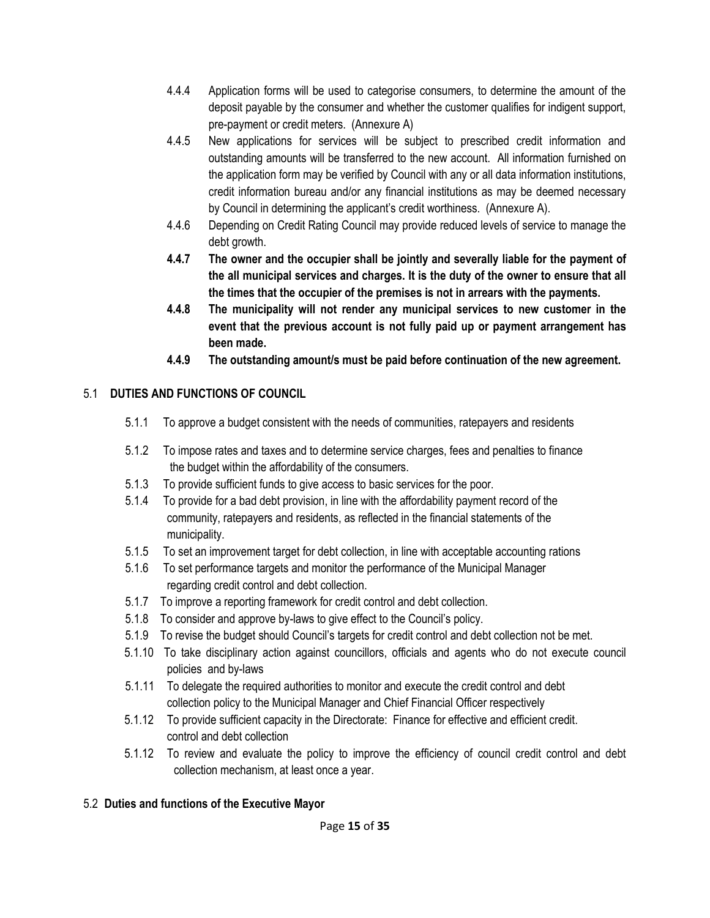- 4.4.4 Application forms will be used to categorise consumers, to determine the amount of the deposit payable by the consumer and whether the customer qualifies for indigent support, pre-payment or credit meters. (Annexure A)
- 4.4.5 New applications for services will be subject to prescribed credit information and outstanding amounts will be transferred to the new account. All information furnished on the application form may be verified by Council with any or all data information institutions, credit information bureau and/or any financial institutions as may be deemed necessary by Council in determining the applicant's credit worthiness. (Annexure A).
- 4.4.6 Depending on Credit Rating Council may provide reduced levels of service to manage the debt growth.
- **4.4.7 The owner and the occupier shall be jointly and severally liable for the payment of the all municipal services and charges. It is the duty of the owner to ensure that all the times that the occupier of the premises is not in arrears with the payments.**
- **4.4.8 The municipality will not render any municipal services to new customer in the event that the previous account is not fully paid up or payment arrangement has been made.**
- **4.4.9 The outstanding amount/s must be paid before continuation of the new agreement.**

# 5.1 **DUTIES AND FUNCTIONS OF COUNCIL**

- 5.1.1 To approve a budget consistent with the needs of communities, ratepayers and residents
- 5.1.2 To impose rates and taxes and to determine service charges, fees and penalties to finance the budget within the affordability of the consumers.
- 5.1.3 To provide sufficient funds to give access to basic services for the poor.
- 5.1.4 To provide for a bad debt provision, in line with the affordability payment record of the community, ratepayers and residents, as reflected in the financial statements of the municipality.
- 5.1.5 To set an improvement target for debt collection, in line with acceptable accounting rations
- 5.1.6 To set performance targets and monitor the performance of the Municipal Manager regarding credit control and debt collection.
- 5.1.7 To improve a reporting framework for credit control and debt collection.
- 5.1.8 To consider and approve by-laws to give effect to the Council's policy.
- 5.1.9 To revise the budget should Council's targets for credit control and debt collection not be met.
- 5.1.10 To take disciplinary action against councillors, officials and agents who do not execute council policies and by-laws
- 5.1.11 To delegate the required authorities to monitor and execute the credit control and debt collection policy to the Municipal Manager and Chief Financial Officer respectively
- 5.1.12 To provide sufficient capacity in the Directorate: Finance for effective and efficient credit. control and debt collection
- 5.1.12 To review and evaluate the policy to improve the efficiency of council credit control and debt collection mechanism, at least once a year.

# 5.2 **Duties and functions of the Executive Mayor**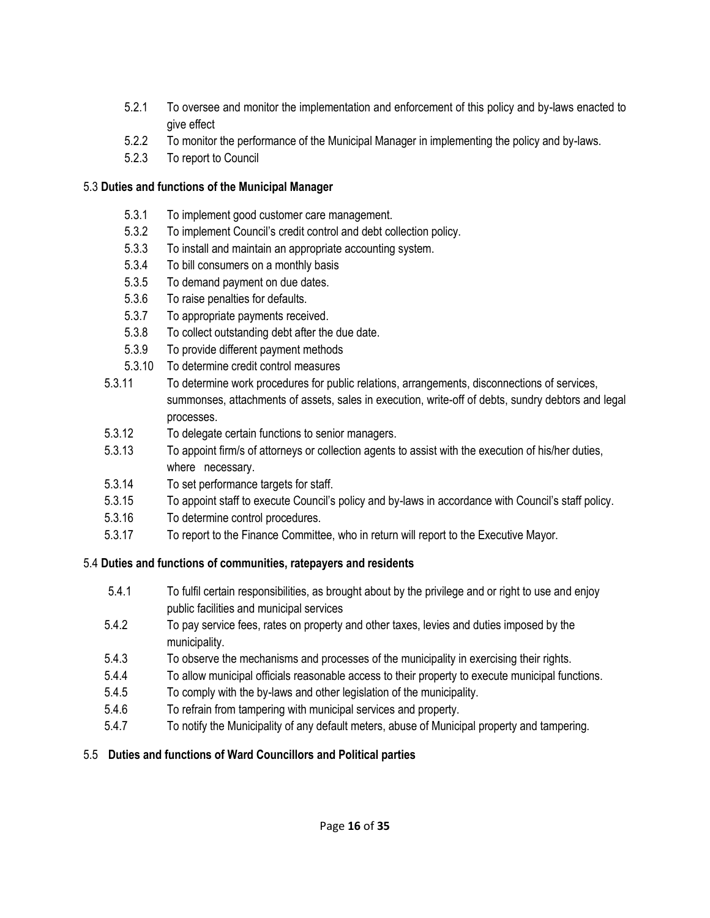- 5.2.1 To oversee and monitor the implementation and enforcement of this policy and by-laws enacted to give effect
- 5.2.2 To monitor the performance of the Municipal Manager in implementing the policy and by-laws.
- 5.2.3 To report to Council

#### 5.3 **Duties and functions of the Municipal Manager**

- 5.3.1 To implement good customer care management.
- 5.3.2 To implement Council's credit control and debt collection policy.
- 5.3.3 To install and maintain an appropriate accounting system.
- 5.3.4 To bill consumers on a monthly basis
- 5.3.5 To demand payment on due dates.
- 5.3.6 To raise penalties for defaults.
- 5.3.7 To appropriate payments received.
- 5.3.8 To collect outstanding debt after the due date.
- 5.3.9 To provide different payment methods
- 5.3.10 To determine credit control measures
- 5.3.11 To determine work procedures for public relations, arrangements, disconnections of services, summonses, attachments of assets, sales in execution, write-off of debts, sundry debtors and legal processes.
- 5.3.12 To delegate certain functions to senior managers.
- 5.3.13 To appoint firm/s of attorneys or collection agents to assist with the execution of his/her duties, where necessary.
- 5.3.14 To set performance targets for staff.
- 5.3.15 To appoint staff to execute Council's policy and by-laws in accordance with Council's staff policy.
- 5.3.16 To determine control procedures.
- 5.3.17 To report to the Finance Committee, who in return will report to the Executive Mayor.

# 5.4 **Duties and functions of communities, ratepayers and residents**

- 5.4.1 To fulfil certain responsibilities, as brought about by the privilege and or right to use and enjoy public facilities and municipal services
- 5.4.2 To pay service fees, rates on property and other taxes, levies and duties imposed by the municipality.
- 5.4.3 To observe the mechanisms and processes of the municipality in exercising their rights.
- 5.4.4 To allow municipal officials reasonable access to their property to execute municipal functions.
- 5.4.5 To comply with the by-laws and other legislation of the municipality.
- 5.4.6 To refrain from tampering with municipal services and property.
- 5.4.7 To notify the Municipality of any default meters, abuse of Municipal property and tampering.

# 5.5 **Duties and functions of Ward Councillors and Political parties**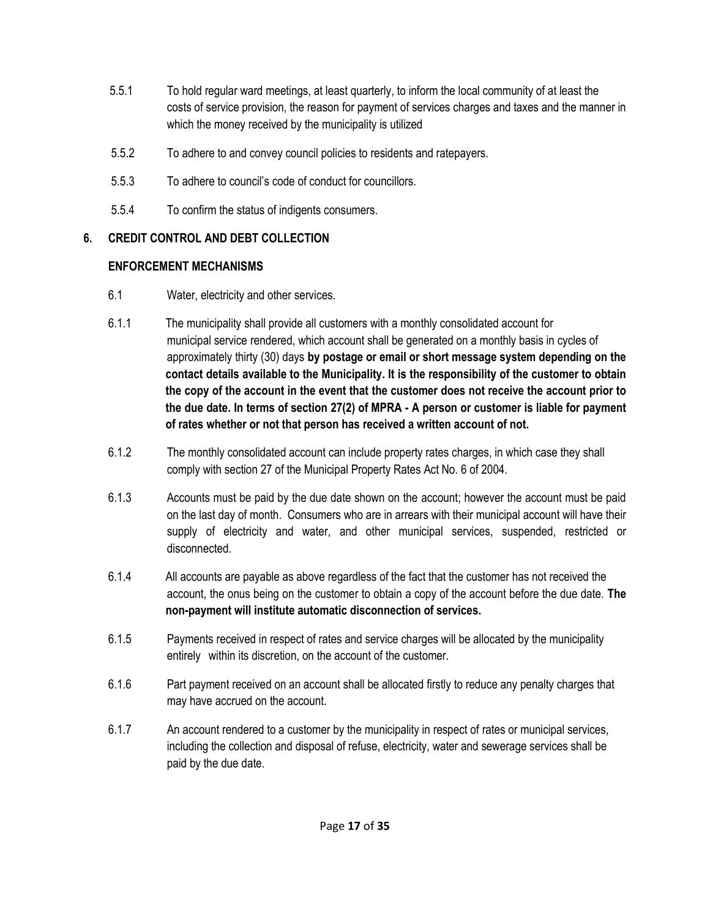- 5.5.1 To hold regular ward meetings, at least quarterly, to inform the local community of at least the costs of service provision, the reason for payment of services charges and taxes and the manner in which the money received by the municipality is utilized
- 5.5.2 To adhere to and convey council policies to residents and ratepayers.
- 5.5.3 To adhere to council's code of conduct for councillors.
- 5.5.4 To confirm the status of indigents consumers.

# **6. CREDIT CONTROL AND DEBT COLLECTION**

#### **ENFORCEMENT MECHANISMS**

- 6.1 Water, electricity and other services.
- 6.1.1 The municipality shall provide all customers with a monthly consolidated account for municipal service rendered, which account shall be generated on a monthly basis in cycles of approximately thirty (30) days **by postage or email or short message system depending on the contact details available to the Municipality. It is the responsibility of the customer to obtain the copy of the account in the event that the customer does not receive the account prior to the due date. In terms of section 27(2) of MPRA - A person or customer is liable for payment of rates whether or not that person has received a written account of not.**
- 6.1.2 The monthly consolidated account can include property rates charges, in which case they shall comply with section 27 of the Municipal Property Rates Act No. 6 of 2004.
- 6.1.3 Accounts must be paid by the due date shown on the account; however the account must be paid on the last day of month. Consumers who are in arrears with their municipal account will have their supply of electricity and water, and other municipal services, suspended, restricted or disconnected.
- 6.1.4 All accounts are payable as above regardless of the fact that the customer has not received the account, the onus being on the customer to obtain a copy of the account before the due date. **The non-payment will institute automatic disconnection of services.**
- 6.1.5 Payments received in respect of rates and service charges will be allocated by the municipality entirely within its discretion, on the account of the customer.
- 6.1.6 Part payment received on an account shall be allocated firstly to reduce any penalty charges that may have accrued on the account.
- 6.1.7 An account rendered to a customer by the municipality in respect of rates or municipal services, including the collection and disposal of refuse, electricity, water and sewerage services shall be paid by the due date.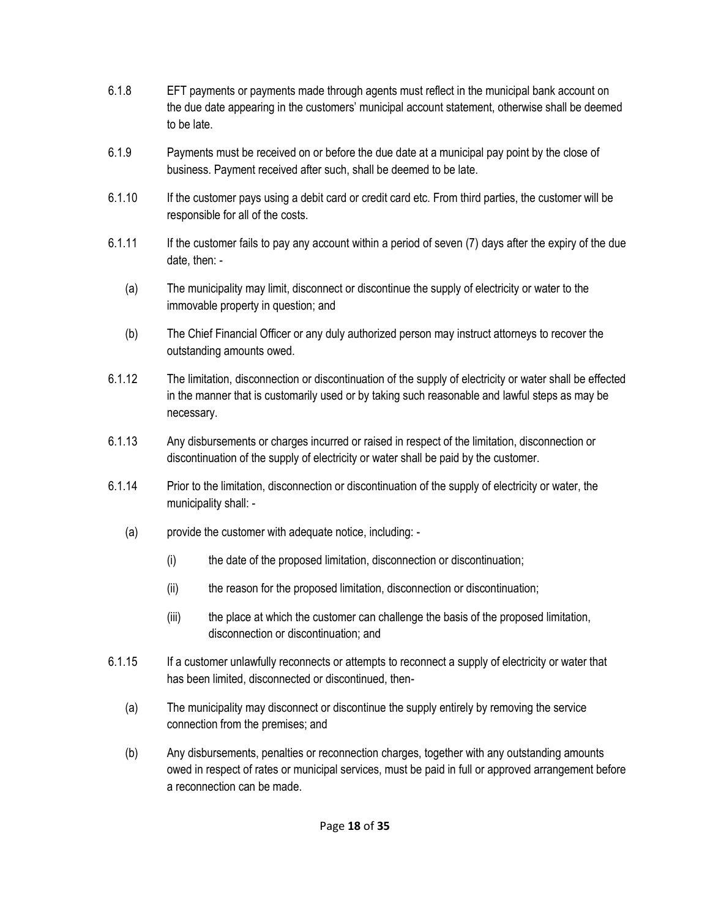- 6.1.8 EFT payments or payments made through agents must reflect in the municipal bank account on the due date appearing in the customers' municipal account statement, otherwise shall be deemed to be late.
- 6.1.9 Payments must be received on or before the due date at a municipal pay point by the close of business. Payment received after such, shall be deemed to be late.
- 6.1.10 If the customer pays using a debit card or credit card etc. From third parties, the customer will be responsible for all of the costs.
- 6.1.11 If the customer fails to pay any account within a period of seven (7) days after the expiry of the due date, then: -
	- (a) The municipality may limit, disconnect or discontinue the supply of electricity or water to the immovable property in question; and
	- (b) The Chief Financial Officer or any duly authorized person may instruct attorneys to recover the outstanding amounts owed.
- 6.1.12 The limitation, disconnection or discontinuation of the supply of electricity or water shall be effected in the manner that is customarily used or by taking such reasonable and lawful steps as may be necessary.
- 6.1.13 Any disbursements or charges incurred or raised in respect of the limitation, disconnection or discontinuation of the supply of electricity or water shall be paid by the customer.
- 6.1.14 Prior to the limitation, disconnection or discontinuation of the supply of electricity or water, the municipality shall: -
	- (a) provide the customer with adequate notice, including:
		- (i) the date of the proposed limitation, disconnection or discontinuation;
		- (ii) the reason for the proposed limitation, disconnection or discontinuation;
		- (iii) the place at which the customer can challenge the basis of the proposed limitation, disconnection or discontinuation; and
- 6.1.15 If a customer unlawfully reconnects or attempts to reconnect a supply of electricity or water that has been limited, disconnected or discontinued, then-
	- (a) The municipality may disconnect or discontinue the supply entirely by removing the service connection from the premises; and
	- (b) Any disbursements, penalties or reconnection charges, together with any outstanding amounts owed in respect of rates or municipal services, must be paid in full or approved arrangement before a reconnection can be made.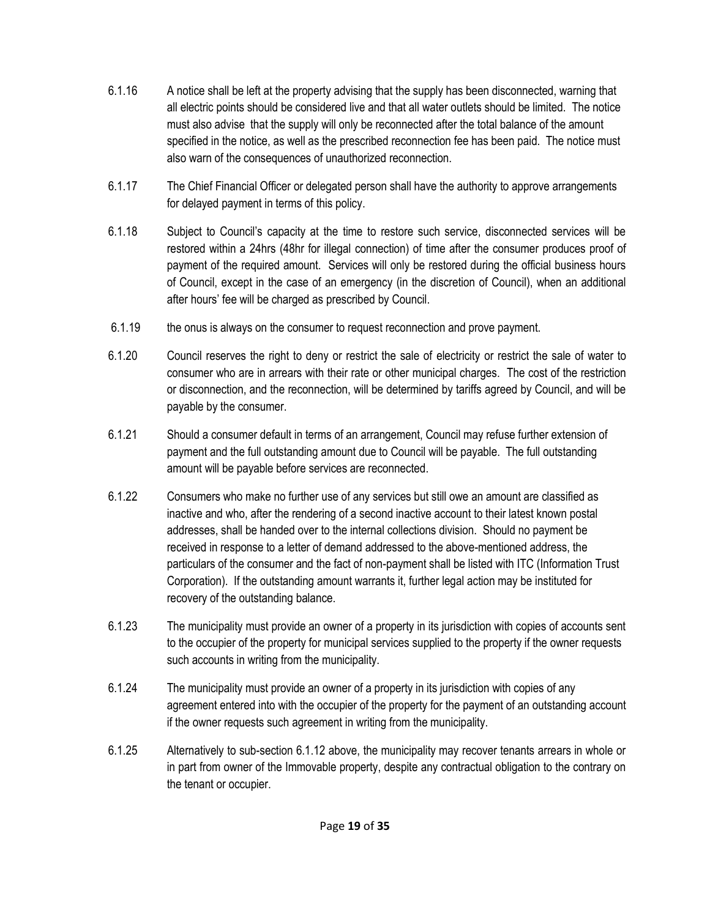- 6.1.16 A notice shall be left at the property advising that the supply has been disconnected, warning that all electric points should be considered live and that all water outlets should be limited. The notice must also advise that the supply will only be reconnected after the total balance of the amount specified in the notice, as well as the prescribed reconnection fee has been paid. The notice must also warn of the consequences of unauthorized reconnection.
- 6.1.17 The Chief Financial Officer or delegated person shall have the authority to approve arrangements for delayed payment in terms of this policy.
- 6.1.18 Subject to Council's capacity at the time to restore such service, disconnected services will be restored within a 24hrs (48hr for illegal connection) of time after the consumer produces proof of payment of the required amount. Services will only be restored during the official business hours of Council, except in the case of an emergency (in the discretion of Council), when an additional after hours' fee will be charged as prescribed by Council.
- 6.1.19 the onus is always on the consumer to request reconnection and prove payment.
- 6.1.20 Council reserves the right to deny or restrict the sale of electricity or restrict the sale of water to consumer who are in arrears with their rate or other municipal charges. The cost of the restriction or disconnection, and the reconnection, will be determined by tariffs agreed by Council, and will be payable by the consumer.
- 6.1.21 Should a consumer default in terms of an arrangement, Council may refuse further extension of payment and the full outstanding amount due to Council will be payable. The full outstanding amount will be payable before services are reconnected.
- 6.1.22 Consumers who make no further use of any services but still owe an amount are classified as inactive and who, after the rendering of a second inactive account to their latest known postal addresses, shall be handed over to the internal collections division. Should no payment be received in response to a letter of demand addressed to the above-mentioned address, the particulars of the consumer and the fact of non-payment shall be listed with ITC (Information Trust Corporation). If the outstanding amount warrants it, further legal action may be instituted for recovery of the outstanding balance.
- 6.1.23 The municipality must provide an owner of a property in its jurisdiction with copies of accounts sent to the occupier of the property for municipal services supplied to the property if the owner requests such accounts in writing from the municipality.
- 6.1.24 The municipality must provide an owner of a property in its jurisdiction with copies of any agreement entered into with the occupier of the property for the payment of an outstanding account if the owner requests such agreement in writing from the municipality.
- 6.1.25 Alternatively to sub-section 6.1.12 above, the municipality may recover tenants arrears in whole or in part from owner of the Immovable property, despite any contractual obligation to the contrary on the tenant or occupier.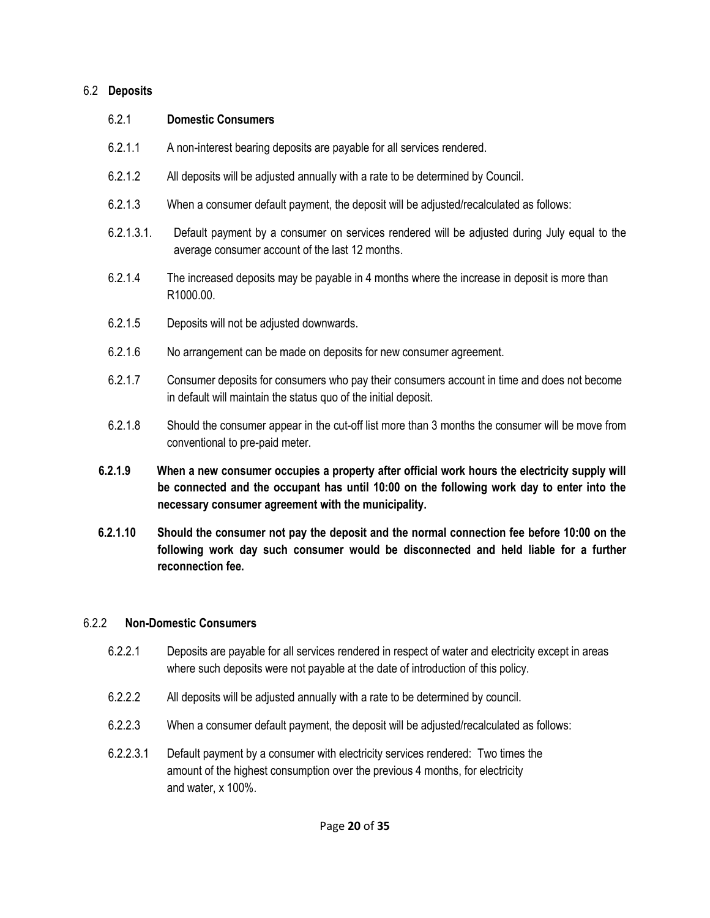#### 6.2 **Deposits**

| 6.2.1      | <b>Domestic Consumers</b>                                                                                                                                      |
|------------|----------------------------------------------------------------------------------------------------------------------------------------------------------------|
| 6.2.1.1    | A non-interest bearing deposits are payable for all services rendered.                                                                                         |
| 6.2.1.2    | All deposits will be adjusted annually with a rate to be determined by Council.                                                                                |
| 6.2.1.3    | When a consumer default payment, the deposit will be adjusted/recalculated as follows:                                                                         |
| 6.2.1.3.1. | Default payment by a consumer on services rendered will be adjusted during July equal to the<br>average consumer account of the last 12 months.                |
| 6.2.1.4    | The increased deposits may be payable in 4 months where the increase in deposit is more than<br>R1000.00.                                                      |
| 6.2.1.5    | Deposits will not be adjusted downwards.                                                                                                                       |
| 6.2.1.6    | No arrangement can be made on deposits for new consumer agreement.                                                                                             |
| 6.2.1.7    | Consumer deposits for consumers who pay their consumers account in time and does not become<br>in default will maintain the status quo of the initial deposit. |
| 6.2.1.8    | Should the consumer appear in the cut-off list more than 3 months the consumer will be move from<br>conventional to pre-paid meter.                            |
| 6219       | When a new consumer occupies a property after official work hours the electricity supply will                                                                  |

- **6.2.1.9 When a new consumer occupies a property after official work hours the electricity supply will be connected and the occupant has until 10:00 on the following work day to enter into the necessary consumer agreement with the municipality.**
- **6.2.1.10 Should the consumer not pay the deposit and the normal connection fee before 10:00 on the following work day such consumer would be disconnected and held liable for a further reconnection fee.**

#### 6.2.2 **Non-Domestic Consumers**

- 6.2.2.1 Deposits are payable for all services rendered in respect of water and electricity except in areas where such deposits were not payable at the date of introduction of this policy.
- 6.2.2.2 All deposits will be adjusted annually with a rate to be determined by council.
- 6.2.2.3 When a consumer default payment, the deposit will be adjusted/recalculated as follows:
- 6.2.2.3.1 Default payment by a consumer with electricity services rendered: Two times the amount of the highest consumption over the previous 4 months, for electricity and water, x 100%.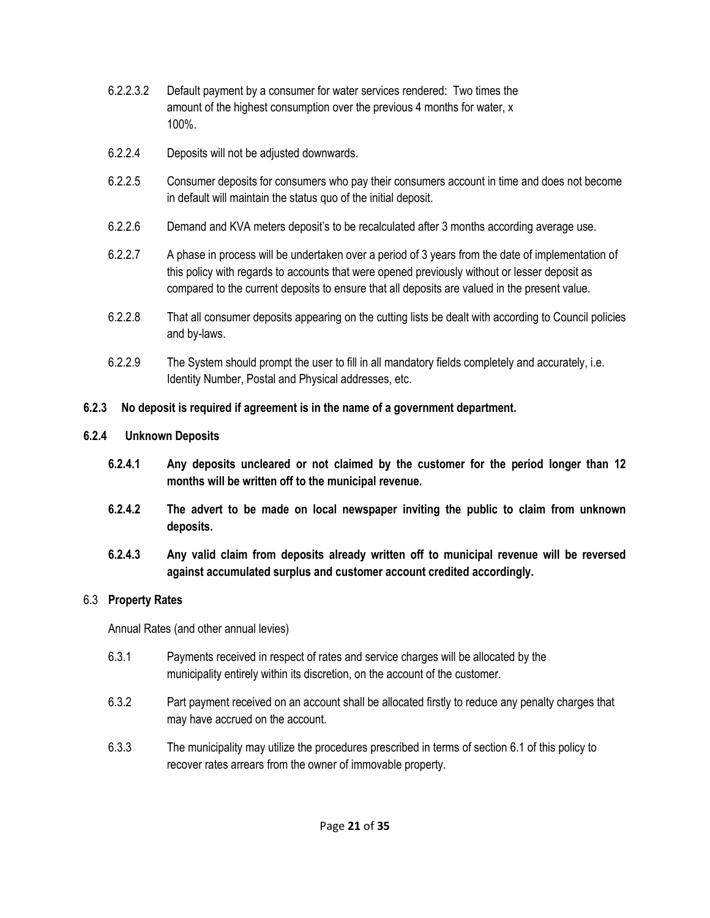- 6.2.2.3.2 Default payment by a consumer for water services rendered: Two times the amount of the highest consumption over the previous 4 months for water, x 100%.
- 6.2.2.4 Deposits will not be adjusted downwards.
- 6.2.2.5 Consumer deposits for consumers who pay their consumers account in time and does not become in default will maintain the status quo of the initial deposit.
- 6.2.2.6 Demand and KVA meters deposit's to be recalculated after 3 months according average use.
- 6.2.2.7 A phase in process will be undertaken over a period of 3 years from the date of implementation of this policy with regards to accounts that were opened previously without or lesser deposit as compared to the current deposits to ensure that all deposits are valued in the present value.
- 6.2.2.8 That all consumer deposits appearing on the cutting lists be dealt with according to Council policies and by-laws.
- 6.2.2.9 The System should prompt the user to fill in all mandatory fields completely and accurately, i.e. Identity Number, Postal and Physical addresses, etc.

# **6.2.3 No deposit is required if agreement is in the name of a government department.**

#### **6.2.4 Unknown Deposits**

- **6.2.4.1 Any deposits uncleared or not claimed by the customer for the period longer than 12 months will be written off to the municipal revenue.**
- **6.2.4.2 The advert to be made on local newspaper inviting the public to claim from unknown deposits.**
- **6.2.4.3 Any valid claim from deposits already written off to municipal revenue will be reversed against accumulated surplus and customer account credited accordingly.**

# 6.3 **Property Rates**

Annual Rates (and other annual levies)

- 6.3.1 Payments received in respect of rates and service charges will be allocated by the municipality entirely within its discretion, on the account of the customer.
- 6.3.2 Part payment received on an account shall be allocated firstly to reduce any penalty charges that may have accrued on the account.
- 6.3.3 The municipality may utilize the procedures prescribed in terms of section 6.1 of this policy to recover rates arrears from the owner of immovable property.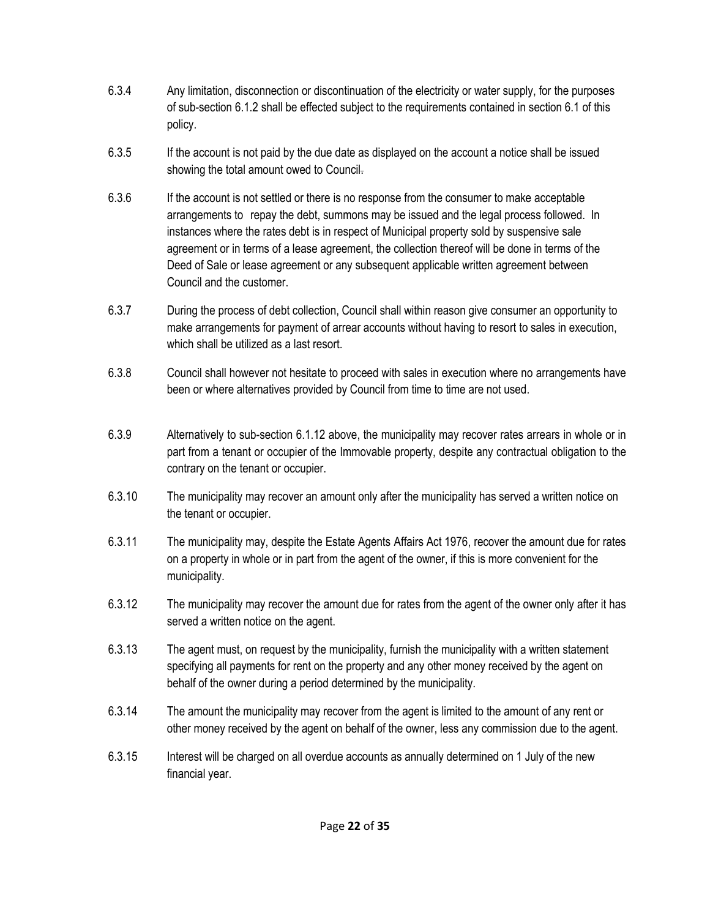- 6.3.4 Any limitation, disconnection or discontinuation of the electricity or water supply, for the purposes of sub-section 6.1.2 shall be effected subject to the requirements contained in section 6.1 of this policy.
- 6.3.5 If the account is not paid by the due date as displayed on the account a notice shall be issued showing the total amount owed to Council.
- 6.3.6 If the account is not settled or there is no response from the consumer to make acceptable arrangements to repay the debt, summons may be issued and the legal process followed. In instances where the rates debt is in respect of Municipal property sold by suspensive sale agreement or in terms of a lease agreement, the collection thereof will be done in terms of the Deed of Sale or lease agreement or any subsequent applicable written agreement between Council and the customer.
- 6.3.7 During the process of debt collection, Council shall within reason give consumer an opportunity to make arrangements for payment of arrear accounts without having to resort to sales in execution, which shall be utilized as a last resort.
- 6.3.8 Council shall however not hesitate to proceed with sales in execution where no arrangements have been or where alternatives provided by Council from time to time are not used.
- 6.3.9 Alternatively to sub-section 6.1.12 above, the municipality may recover rates arrears in whole or in part from a tenant or occupier of the Immovable property, despite any contractual obligation to the contrary on the tenant or occupier.
- 6.3.10 The municipality may recover an amount only after the municipality has served a written notice on the tenant or occupier.
- 6.3.11 The municipality may, despite the Estate Agents Affairs Act 1976, recover the amount due for rates on a property in whole or in part from the agent of the owner, if this is more convenient for the municipality.
- 6.3.12 The municipality may recover the amount due for rates from the agent of the owner only after it has served a written notice on the agent.
- 6.3.13 The agent must, on request by the municipality, furnish the municipality with a written statement specifying all payments for rent on the property and any other money received by the agent on behalf of the owner during a period determined by the municipality.
- 6.3.14 The amount the municipality may recover from the agent is limited to the amount of any rent or other money received by the agent on behalf of the owner, less any commission due to the agent.
- 6.3.15 Interest will be charged on all overdue accounts as annually determined on 1 July of the new financial year.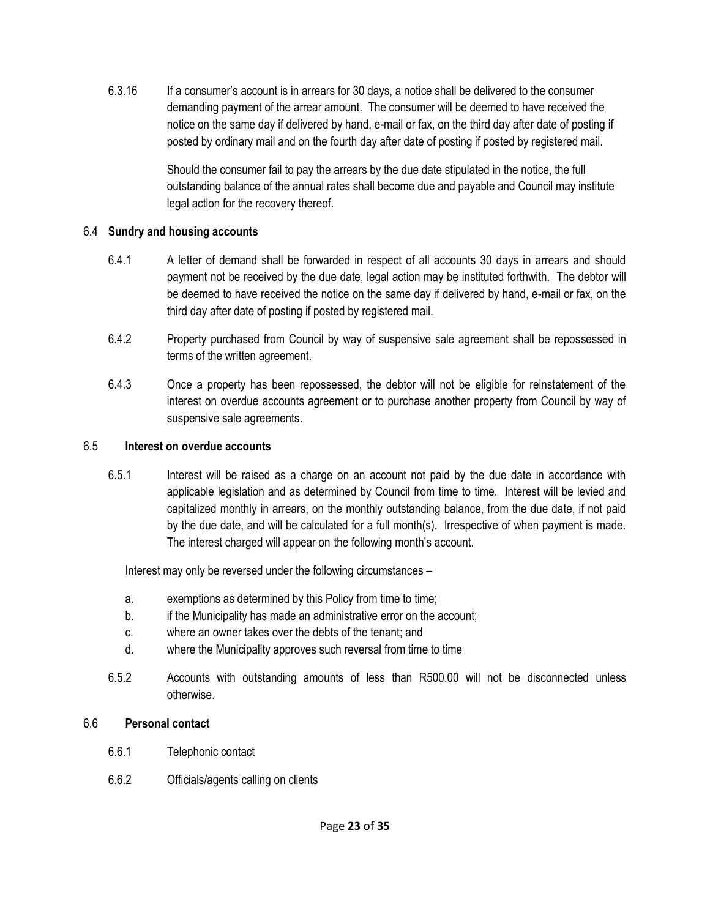6.3.16 If a consumer's account is in arrears for 30 days, a notice shall be delivered to the consumer demanding payment of the arrear amount. The consumer will be deemed to have received the notice on the same day if delivered by hand, e-mail or fax, on the third day after date of posting if posted by ordinary mail and on the fourth day after date of posting if posted by registered mail.

> Should the consumer fail to pay the arrears by the due date stipulated in the notice, the full outstanding balance of the annual rates shall become due and payable and Council may institute legal action for the recovery thereof.

#### 6.4 **Sundry and housing accounts**

- 6.4.1 A letter of demand shall be forwarded in respect of all accounts 30 days in arrears and should payment not be received by the due date, legal action may be instituted forthwith. The debtor will be deemed to have received the notice on the same day if delivered by hand, e-mail or fax, on the third day after date of posting if posted by registered mail.
- 6.4.2 Property purchased from Council by way of suspensive sale agreement shall be repossessed in terms of the written agreement.
- 6.4.3 Once a property has been repossessed, the debtor will not be eligible for reinstatement of the interest on overdue accounts agreement or to purchase another property from Council by way of suspensive sale agreements.

#### 6.5 **Interest on overdue accounts**

6.5.1 Interest will be raised as a charge on an account not paid by the due date in accordance with applicable legislation and as determined by Council from time to time. Interest will be levied and capitalized monthly in arrears, on the monthly outstanding balance, from the due date, if not paid by the due date, and will be calculated for a full month(s). Irrespective of when payment is made. The interest charged will appear on the following month's account.

Interest may only be reversed under the following circumstances –

- a. exemptions as determined by this Policy from time to time;
- b. if the Municipality has made an administrative error on the account;
- c. where an owner takes over the debts of the tenant; and
- d. where the Municipality approves such reversal from time to time
- 6.5.2 Accounts with outstanding amounts of less than R500.00 will not be disconnected unless otherwise.

#### 6.6 **Personal contact**

- 6.6.1 Telephonic contact
- 6.6.2 Officials/agents calling on clients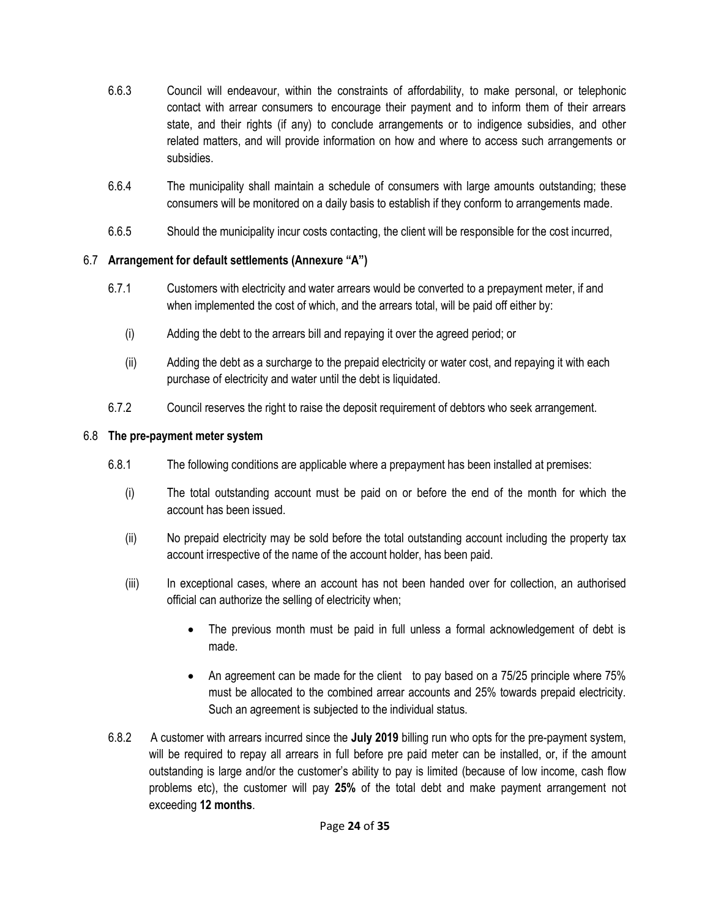- 6.6.3 Council will endeavour, within the constraints of affordability, to make personal, or telephonic contact with arrear consumers to encourage their payment and to inform them of their arrears state, and their rights (if any) to conclude arrangements or to indigence subsidies, and other related matters, and will provide information on how and where to access such arrangements or subsidies.
- 6.6.4 The municipality shall maintain a schedule of consumers with large amounts outstanding; these consumers will be monitored on a daily basis to establish if they conform to arrangements made.
- 6.6.5 Should the municipality incur costs contacting, the client will be responsible for the cost incurred,

#### 6.7 **Arrangement for default settlements (Annexure "A")**

- 6.7.1 Customers with electricity and water arrears would be converted to a prepayment meter, if and when implemented the cost of which, and the arrears total, will be paid off either by:
	- (i) Adding the debt to the arrears bill and repaying it over the agreed period; or
	- (ii) Adding the debt as a surcharge to the prepaid electricity or water cost, and repaying it with each purchase of electricity and water until the debt is liquidated.
- 6.7.2 Council reserves the right to raise the deposit requirement of debtors who seek arrangement.

#### 6.8 **The pre-payment meter system**

- 6.8.1 The following conditions are applicable where a prepayment has been installed at premises:
	- (i) The total outstanding account must be paid on or before the end of the month for which the account has been issued.
	- (ii) No prepaid electricity may be sold before the total outstanding account including the property tax account irrespective of the name of the account holder, has been paid.
	- (iii) In exceptional cases, where an account has not been handed over for collection, an authorised official can authorize the selling of electricity when;
		- The previous month must be paid in full unless a formal acknowledgement of debt is made.
		- An agreement can be made for the client to pay based on a 75/25 principle where 75% must be allocated to the combined arrear accounts and 25% towards prepaid electricity. Such an agreement is subjected to the individual status.
- 6.8.2 A customer with arrears incurred since the **July 2019** billing run who opts for the pre-payment system, will be required to repay all arrears in full before pre paid meter can be installed, or, if the amount outstanding is large and/or the customer's ability to pay is limited (because of low income, cash flow problems etc), the customer will pay **25%** of the total debt and make payment arrangement not exceeding **12 months**.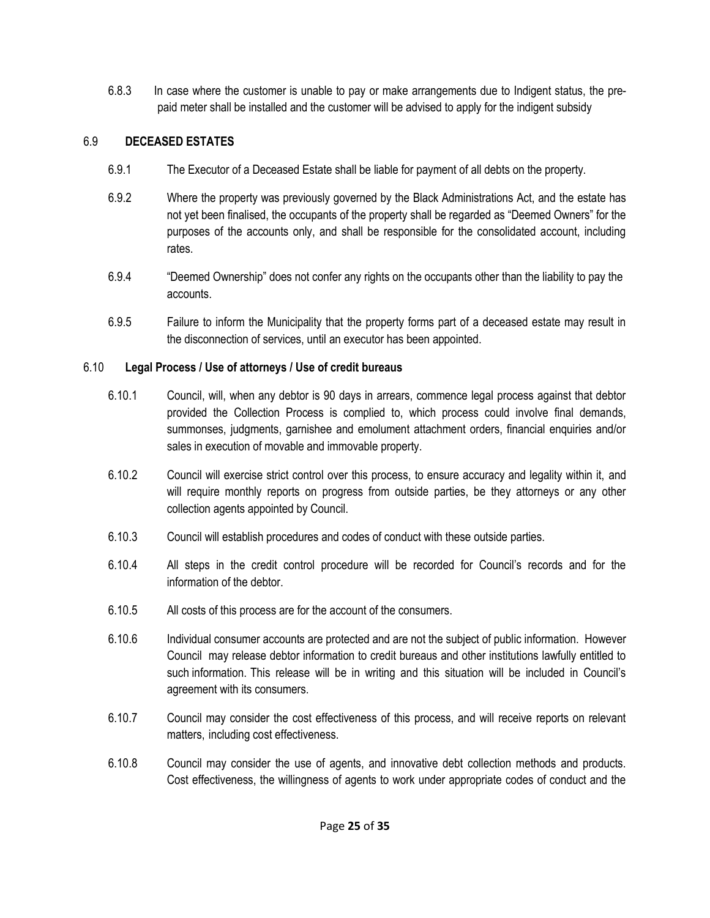6.8.3 In case where the customer is unable to pay or make arrangements due to Indigent status, the prepaid meter shall be installed and the customer will be advised to apply for the indigent subsidy

# 6.9 **DECEASED ESTATES**

- 6.9.1 The Executor of a Deceased Estate shall be liable for payment of all debts on the property.
- 6.9.2 Where the property was previously governed by the Black Administrations Act, and the estate has not yet been finalised, the occupants of the property shall be regarded as "Deemed Owners" for the purposes of the accounts only, and shall be responsible for the consolidated account, including rates.
- 6.9.4 "Deemed Ownership" does not confer any rights on the occupants other than the liability to pay the accounts.
- 6.9.5 Failure to inform the Municipality that the property forms part of a deceased estate may result in the disconnection of services, until an executor has been appointed.

# 6.10 **Legal Process / Use of attorneys / Use of credit bureaus**

- 6.10.1 Council, will, when any debtor is 90 days in arrears, commence legal process against that debtor provided the Collection Process is complied to, which process could involve final demands, summonses, judgments, garnishee and emolument attachment orders, financial enquiries and/or sales in execution of movable and immovable property.
- 6.10.2 Council will exercise strict control over this process, to ensure accuracy and legality within it, and will require monthly reports on progress from outside parties, be they attorneys or any other collection agents appointed by Council.
- 6.10.3 Council will establish procedures and codes of conduct with these outside parties.
- 6.10.4 All steps in the credit control procedure will be recorded for Council's records and for the information of the debtor.
- 6.10.5 All costs of this process are for the account of the consumers.
- 6.10.6 Individual consumer accounts are protected and are not the subject of public information. However Council may release debtor information to credit bureaus and other institutions lawfully entitled to such information. This release will be in writing and this situation will be included in Council's agreement with its consumers.
- 6.10.7 Council may consider the cost effectiveness of this process, and will receive reports on relevant matters, including cost effectiveness.
- 6.10.8 Council may consider the use of agents, and innovative debt collection methods and products. Cost effectiveness, the willingness of agents to work under appropriate codes of conduct and the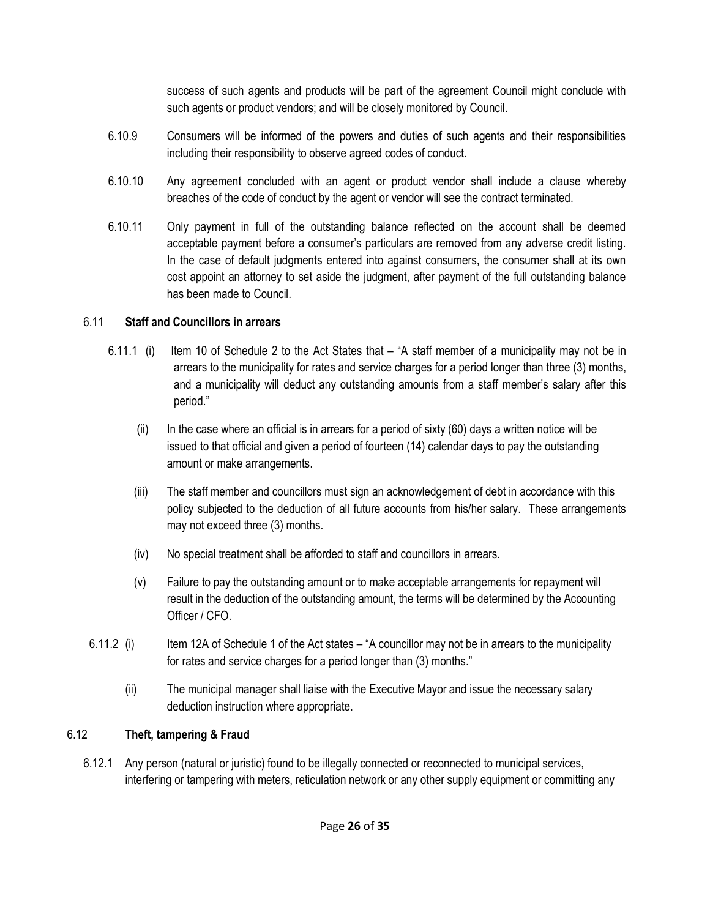success of such agents and products will be part of the agreement Council might conclude with such agents or product vendors; and will be closely monitored by Council.

- 6.10.9 Consumers will be informed of the powers and duties of such agents and their responsibilities including their responsibility to observe agreed codes of conduct.
- 6.10.10 Any agreement concluded with an agent or product vendor shall include a clause whereby breaches of the code of conduct by the agent or vendor will see the contract terminated.
- 6.10.11 Only payment in full of the outstanding balance reflected on the account shall be deemed acceptable payment before a consumer's particulars are removed from any adverse credit listing. In the case of default judgments entered into against consumers, the consumer shall at its own cost appoint an attorney to set aside the judgment, after payment of the full outstanding balance has been made to Council.

#### 6.11 **Staff and Councillors in arrears**

- 6.11.1 (i) Item 10 of Schedule 2 to the Act States that "A staff member of a municipality may not be in arrears to the municipality for rates and service charges for a period longer than three (3) months, and a municipality will deduct any outstanding amounts from a staff member's salary after this period."
	- (ii) In the case where an official is in arrears for a period of sixty (60) days a written notice will be issued to that official and given a period of fourteen (14) calendar days to pay the outstanding amount or make arrangements.
	- (iii) The staff member and councillors must sign an acknowledgement of debt in accordance with this policy subjected to the deduction of all future accounts from his/her salary. These arrangements may not exceed three (3) months.
	- (iv) No special treatment shall be afforded to staff and councillors in arrears.
	- (v) Failure to pay the outstanding amount or to make acceptable arrangements for repayment will result in the deduction of the outstanding amount, the terms will be determined by the Accounting Officer / CFO.
- 6.11.2 (i) Item 12A of Schedule 1 of the Act states "A councillor may not be in arrears to the municipality for rates and service charges for a period longer than (3) months."
	- (ii) The municipal manager shall liaise with the Executive Mayor and issue the necessary salary deduction instruction where appropriate.

# 6.12 **Theft, tampering & Fraud**

6.12.1 Any person (natural or juristic) found to be illegally connected or reconnected to municipal services, interfering or tampering with meters, reticulation network or any other supply equipment or committing any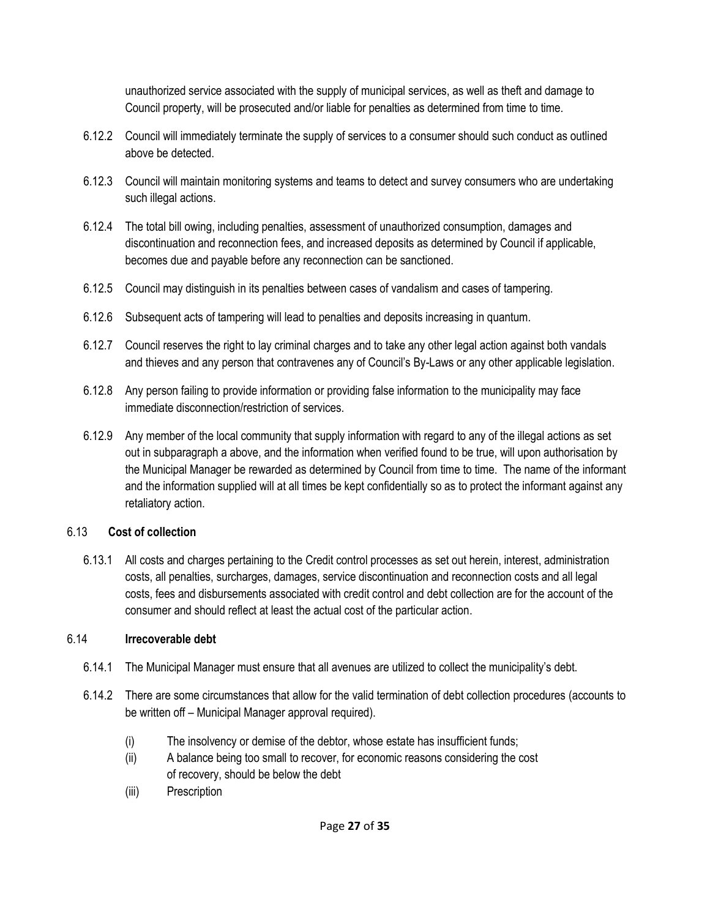unauthorized service associated with the supply of municipal services, as well as theft and damage to Council property, will be prosecuted and/or liable for penalties as determined from time to time.

- 6.12.2 Council will immediately terminate the supply of services to a consumer should such conduct as outlined above be detected.
- 6.12.3 Council will maintain monitoring systems and teams to detect and survey consumers who are undertaking such illegal actions.
- 6.12.4 The total bill owing, including penalties, assessment of unauthorized consumption, damages and discontinuation and reconnection fees, and increased deposits as determined by Council if applicable, becomes due and payable before any reconnection can be sanctioned.
- 6.12.5 Council may distinguish in its penalties between cases of vandalism and cases of tampering.
- 6.12.6 Subsequent acts of tampering will lead to penalties and deposits increasing in quantum.
- 6.12.7 Council reserves the right to lay criminal charges and to take any other legal action against both vandals and thieves and any person that contravenes any of Council's By-Laws or any other applicable legislation.
- 6.12.8 Any person failing to provide information or providing false information to the municipality may face immediate disconnection/restriction of services.
- 6.12.9 Any member of the local community that supply information with regard to any of the illegal actions as set out in subparagraph a above, and the information when verified found to be true, will upon authorisation by the Municipal Manager be rewarded as determined by Council from time to time. The name of the informant and the information supplied will at all times be kept confidentially so as to protect the informant against any retaliatory action.

#### 6.13 **Cost of collection**

6.13.1 All costs and charges pertaining to the Credit control processes as set out herein, interest, administration costs, all penalties, surcharges, damages, service discontinuation and reconnection costs and all legal costs, fees and disbursements associated with credit control and debt collection are for the account of the consumer and should reflect at least the actual cost of the particular action.

# 6.14 **Irrecoverable debt**

- 6.14.1 The Municipal Manager must ensure that all avenues are utilized to collect the municipality's debt.
- 6.14.2 There are some circumstances that allow for the valid termination of debt collection procedures (accounts to be written off – Municipal Manager approval required).
	- (i) The insolvency or demise of the debtor, whose estate has insufficient funds;
	- (ii) A balance being too small to recover, for economic reasons considering the cost of recovery, should be below the debt
	- (iii) Prescription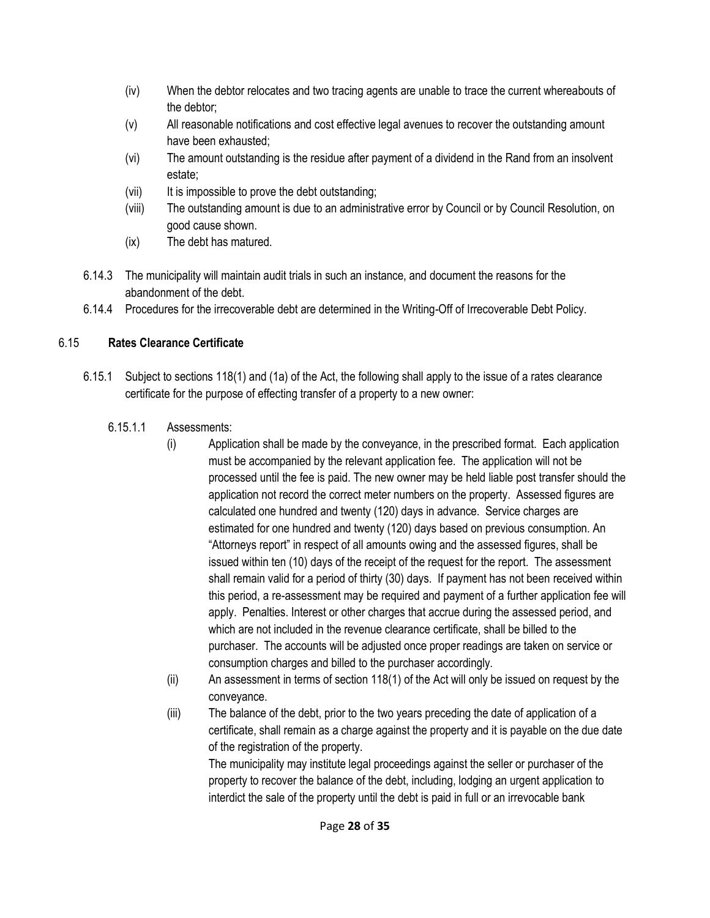- (iv) When the debtor relocates and two tracing agents are unable to trace the current whereabouts of the debtor;
- (v) All reasonable notifications and cost effective legal avenues to recover the outstanding amount have been exhausted;
- (vi) The amount outstanding is the residue after payment of a dividend in the Rand from an insolvent estate;
- (vii) It is impossible to prove the debt outstanding;
- (viii) The outstanding amount is due to an administrative error by Council or by Council Resolution, on good cause shown.
- (ix) The debt has matured.
- 6.14.3 The municipality will maintain audit trials in such an instance, and document the reasons for the abandonment of the debt.
- 6.14.4 Procedures for the irrecoverable debt are determined in the Writing-Off of Irrecoverable Debt Policy.

# 6.15 **Rates Clearance Certificate**

- 6.15.1 Subject to sections 118(1) and (1a) of the Act, the following shall apply to the issue of a rates clearance certificate for the purpose of effecting transfer of a property to a new owner:
	- 6.15.1.1 Assessments:
		- (i) Application shall be made by the conveyance, in the prescribed format. Each application must be accompanied by the relevant application fee. The application will not be processed until the fee is paid. The new owner may be held liable post transfer should the application not record the correct meter numbers on the property. Assessed figures are calculated one hundred and twenty (120) days in advance. Service charges are estimated for one hundred and twenty (120) days based on previous consumption. An "Attorneys report" in respect of all amounts owing and the assessed figures, shall be issued within ten (10) days of the receipt of the request for the report. The assessment shall remain valid for a period of thirty (30) days. If payment has not been received within this period, a re-assessment may be required and payment of a further application fee will apply. Penalties. Interest or other charges that accrue during the assessed period, and which are not included in the revenue clearance certificate, shall be billed to the purchaser. The accounts will be adjusted once proper readings are taken on service or consumption charges and billed to the purchaser accordingly.
		- (ii) An assessment in terms of section 118(1) of the Act will only be issued on request by the conveyance.
		- (iii) The balance of the debt, prior to the two years preceding the date of application of a certificate, shall remain as a charge against the property and it is payable on the due date of the registration of the property.

The municipality may institute legal proceedings against the seller or purchaser of the property to recover the balance of the debt, including, lodging an urgent application to interdict the sale of the property until the debt is paid in full or an irrevocable bank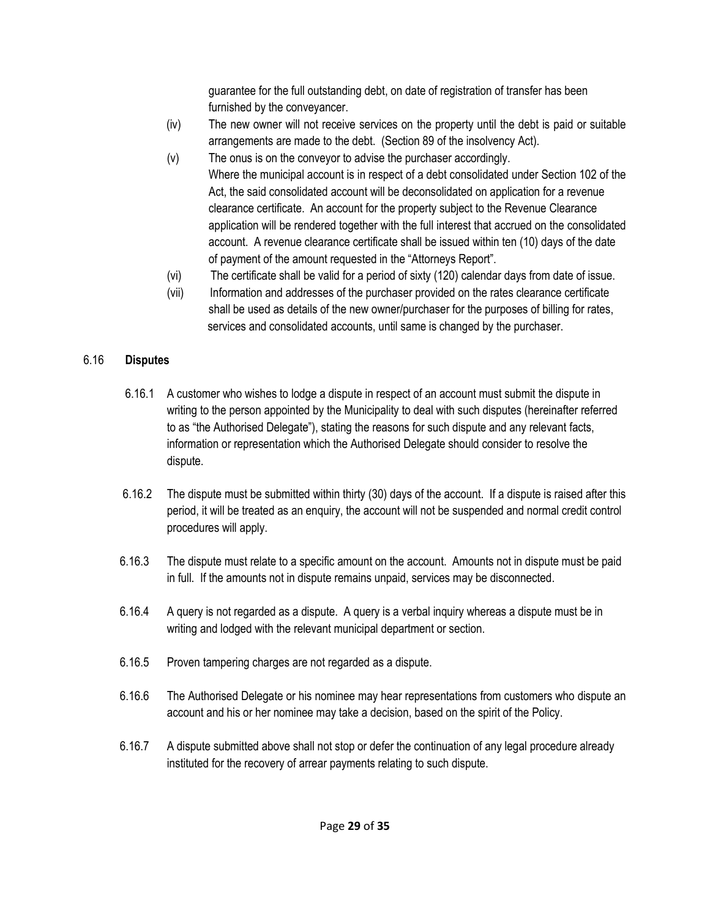guarantee for the full outstanding debt, on date of registration of transfer has been furnished by the conveyancer.

- (iv) The new owner will not receive services on the property until the debt is paid or suitable arrangements are made to the debt. (Section 89 of the insolvency Act).
- (v) The onus is on the conveyor to advise the purchaser accordingly. Where the municipal account is in respect of a debt consolidated under Section 102 of the Act, the said consolidated account will be deconsolidated on application for a revenue clearance certificate. An account for the property subject to the Revenue Clearance application will be rendered together with the full interest that accrued on the consolidated account. A revenue clearance certificate shall be issued within ten (10) days of the date of payment of the amount requested in the "Attorneys Report".
- (vi) The certificate shall be valid for a period of sixty (120) calendar days from date of issue.
- (vii) Information and addresses of the purchaser provided on the rates clearance certificate shall be used as details of the new owner/purchaser for the purposes of billing for rates, services and consolidated accounts, until same is changed by the purchaser.

#### 6.16 **Disputes**

- 6.16.1 A customer who wishes to lodge a dispute in respect of an account must submit the dispute in writing to the person appointed by the Municipality to deal with such disputes (hereinafter referred to as "the Authorised Delegate"), stating the reasons for such dispute and any relevant facts, information or representation which the Authorised Delegate should consider to resolve the dispute.
- 6.16.2 The dispute must be submitted within thirty (30) days of the account. If a dispute is raised after this period, it will be treated as an enquiry, the account will not be suspended and normal credit control procedures will apply.
- 6.16.3 The dispute must relate to a specific amount on the account. Amounts not in dispute must be paid in full. If the amounts not in dispute remains unpaid, services may be disconnected.
- 6.16.4 A query is not regarded as a dispute. A query is a verbal inquiry whereas a dispute must be in writing and lodged with the relevant municipal department or section.
- 6.16.5 Proven tampering charges are not regarded as a dispute.
- 6.16.6 The Authorised Delegate or his nominee may hear representations from customers who dispute an account and his or her nominee may take a decision, based on the spirit of the Policy.
- 6.16.7 A dispute submitted above shall not stop or defer the continuation of any legal procedure already instituted for the recovery of arrear payments relating to such dispute.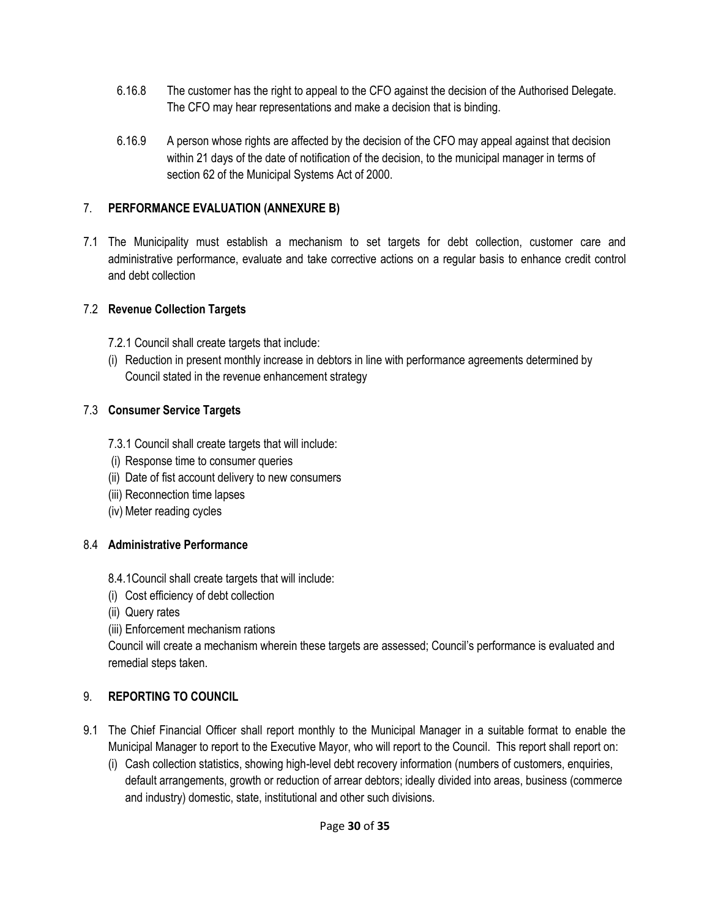- 6.16.8 The customer has the right to appeal to the CFO against the decision of the Authorised Delegate. The CFO may hear representations and make a decision that is binding.
- 6.16.9 A person whose rights are affected by the decision of the CFO may appeal against that decision within 21 days of the date of notification of the decision, to the municipal manager in terms of section 62 of the Municipal Systems Act of 2000.

### 7. **PERFORMANCE EVALUATION (ANNEXURE B)**

7.1 The Municipality must establish a mechanism to set targets for debt collection, customer care and administrative performance, evaluate and take corrective actions on a regular basis to enhance credit control and debt collection

#### 7.2 **Revenue Collection Targets**

- 7.2.1 Council shall create targets that include:
- (i) Reduction in present monthly increase in debtors in line with performance agreements determined by Council stated in the revenue enhancement strategy

# 7.3 **Consumer Service Targets**

- 7.3.1 Council shall create targets that will include:
- (i) Response time to consumer queries
- (ii) Date of fist account delivery to new consumers
- (iii) Reconnection time lapses
- (iv) Meter reading cycles

# 8.4 **Administrative Performance**

- 8.4.1Council shall create targets that will include:
- (i) Cost efficiency of debt collection
- (ii) Query rates
- (iii) Enforcement mechanism rations

Council will create a mechanism wherein these targets are assessed; Council's performance is evaluated and remedial steps taken.

# 9. **REPORTING TO COUNCIL**

- 9.1 The Chief Financial Officer shall report monthly to the Municipal Manager in a suitable format to enable the Municipal Manager to report to the Executive Mayor, who will report to the Council. This report shall report on:
	- (i) Cash collection statistics, showing high-level debt recovery information (numbers of customers, enquiries, default arrangements, growth or reduction of arrear debtors; ideally divided into areas, business (commerce and industry) domestic, state, institutional and other such divisions.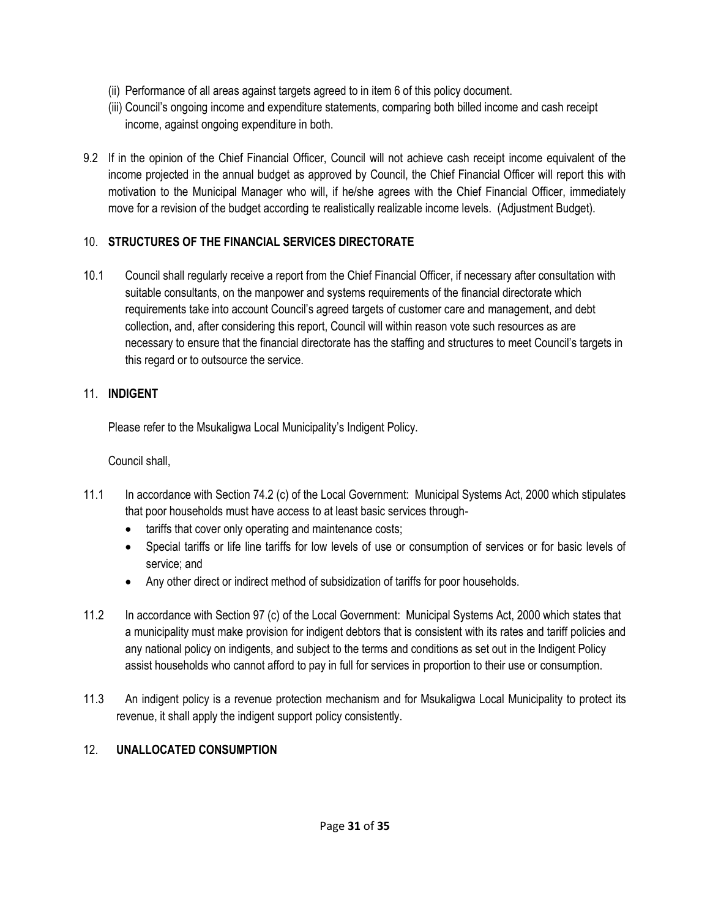- (ii) Performance of all areas against targets agreed to in item 6 of this policy document.
- (iii) Council's ongoing income and expenditure statements, comparing both billed income and cash receipt income, against ongoing expenditure in both.
- 9.2 If in the opinion of the Chief Financial Officer, Council will not achieve cash receipt income equivalent of the income projected in the annual budget as approved by Council, the Chief Financial Officer will report this with motivation to the Municipal Manager who will, if he/she agrees with the Chief Financial Officer, immediately move for a revision of the budget according te realistically realizable income levels. (Adjustment Budget).

# 10. **STRUCTURES OF THE FINANCIAL SERVICES DIRECTORATE**

10.1 Council shall regularly receive a report from the Chief Financial Officer, if necessary after consultation with suitable consultants, on the manpower and systems requirements of the financial directorate which requirements take into account Council's agreed targets of customer care and management, and debt collection, and, after considering this report, Council will within reason vote such resources as are necessary to ensure that the financial directorate has the staffing and structures to meet Council's targets in this regard or to outsource the service.

# 11. **INDIGENT**

Please refer to the Msukaligwa Local Municipality's Indigent Policy.

# Council shall,

- 11.1 In accordance with Section 74.2 (c) of the Local Government: Municipal Systems Act, 2000 which stipulates that poor households must have access to at least basic services through-
	- tariffs that cover only operating and maintenance costs;
	- Special tariffs or life line tariffs for low levels of use or consumption of services or for basic levels of service; and
	- Any other direct or indirect method of subsidization of tariffs for poor households.
- 11.2 In accordance with Section 97 (c) of the Local Government: Municipal Systems Act, 2000 which states that a municipality must make provision for indigent debtors that is consistent with its rates and tariff policies and any national policy on indigents, and subject to the terms and conditions as set out in the Indigent Policy assist households who cannot afford to pay in full for services in proportion to their use or consumption.
- 11.3 An indigent policy is a revenue protection mechanism and for Msukaligwa Local Municipality to protect its revenue, it shall apply the indigent support policy consistently.

# 12. **UNALLOCATED CONSUMPTION**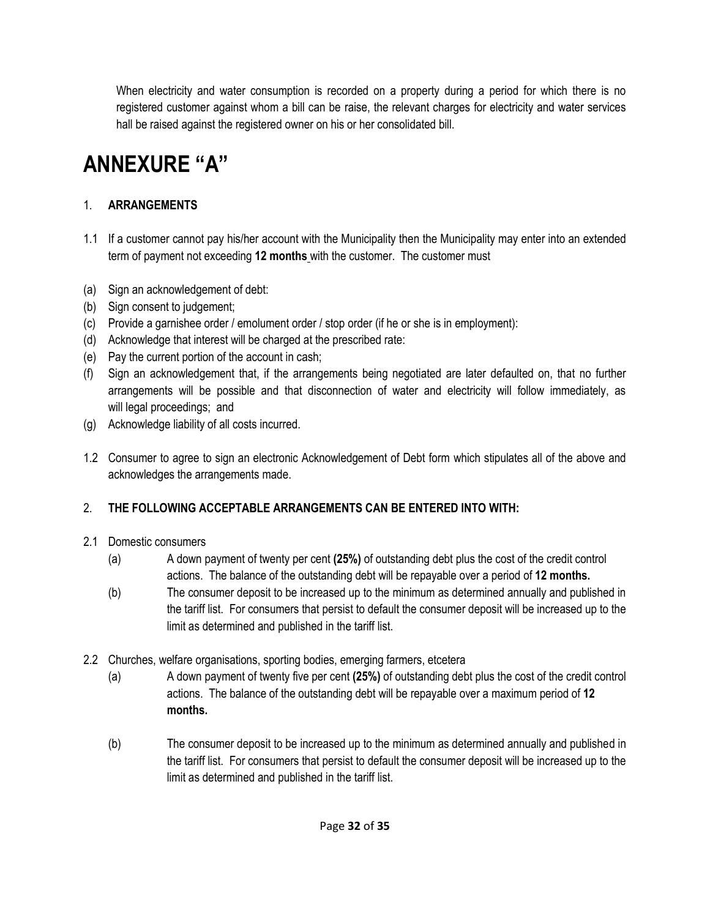When electricity and water consumption is recorded on a property during a period for which there is no registered customer against whom a bill can be raise, the relevant charges for electricity and water services hall be raised against the registered owner on his or her consolidated bill.

# **ANNEXURE "A"**

# 1. **ARRANGEMENTS**

- 1.1 If a customer cannot pay his/her account with the Municipality then the Municipality may enter into an extended term of payment not exceeding **12 months** with the customer. The customer must
- (a) Sign an acknowledgement of debt:
- (b) Sign consent to judgement;
- (c) Provide a garnishee order / emolument order / stop order (if he or she is in employment):
- (d) Acknowledge that interest will be charged at the prescribed rate:
- (e) Pay the current portion of the account in cash;
- (f) Sign an acknowledgement that, if the arrangements being negotiated are later defaulted on, that no further arrangements will be possible and that disconnection of water and electricity will follow immediately, as will legal proceedings; and
- (g) Acknowledge liability of all costs incurred.
- 1.2 Consumer to agree to sign an electronic Acknowledgement of Debt form which stipulates all of the above and acknowledges the arrangements made.

# 2. **THE FOLLOWING ACCEPTABLE ARRANGEMENTS CAN BE ENTERED INTO WITH:**

# 2.1 Domestic consumers

- (a) A down payment of twenty per cent **(25%)** of outstanding debt plus the cost of the credit control actions. The balance of the outstanding debt will be repayable over a period of **12 months.**
- (b) The consumer deposit to be increased up to the minimum as determined annually and published in the tariff list. For consumers that persist to default the consumer deposit will be increased up to the limit as determined and published in the tariff list.
- 2.2 Churches, welfare organisations, sporting bodies, emerging farmers, etcetera
	- (a) A down payment of twenty five per cent **(25%)** of outstanding debt plus the cost of the credit control actions. The balance of the outstanding debt will be repayable over a maximum period of **12 months.**
	- (b) The consumer deposit to be increased up to the minimum as determined annually and published in the tariff list. For consumers that persist to default the consumer deposit will be increased up to the limit as determined and published in the tariff list.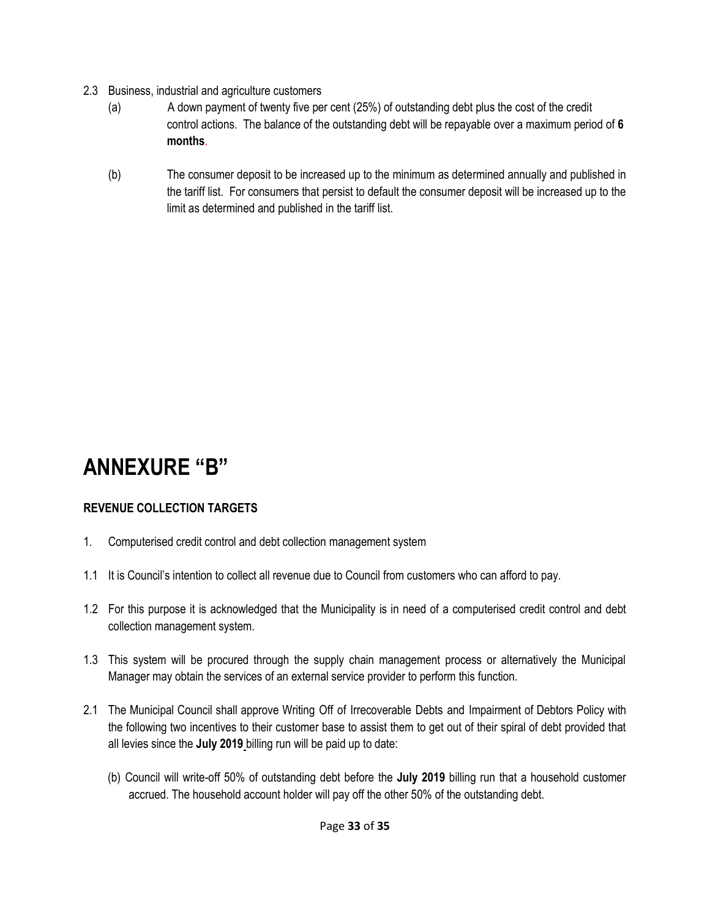- 2.3 Business, industrial and agriculture customers
	- (a) A down payment of twenty five per cent (25%) of outstanding debt plus the cost of the credit control actions. The balance of the outstanding debt will be repayable over a maximum period of **6 months**.
	- (b) The consumer deposit to be increased up to the minimum as determined annually and published in the tariff list. For consumers that persist to default the consumer deposit will be increased up to the limit as determined and published in the tariff list.

# **ANNEXURE "B"**

# **REVENUE COLLECTION TARGETS**

- 1. Computerised credit control and debt collection management system
- 1.1 It is Council's intention to collect all revenue due to Council from customers who can afford to pay.
- 1.2 For this purpose it is acknowledged that the Municipality is in need of a computerised credit control and debt collection management system.
- 1.3 This system will be procured through the supply chain management process or alternatively the Municipal Manager may obtain the services of an external service provider to perform this function.
- 2.1 The Municipal Council shall approve Writing Off of Irrecoverable Debts and Impairment of Debtors Policy with the following two incentives to their customer base to assist them to get out of their spiral of debt provided that all levies since the **July 2019** billing run will be paid up to date:
	- (b) Council will write-off 50% of outstanding debt before the **July 2019** billing run that a household customer accrued. The household account holder will pay off the other 50% of the outstanding debt.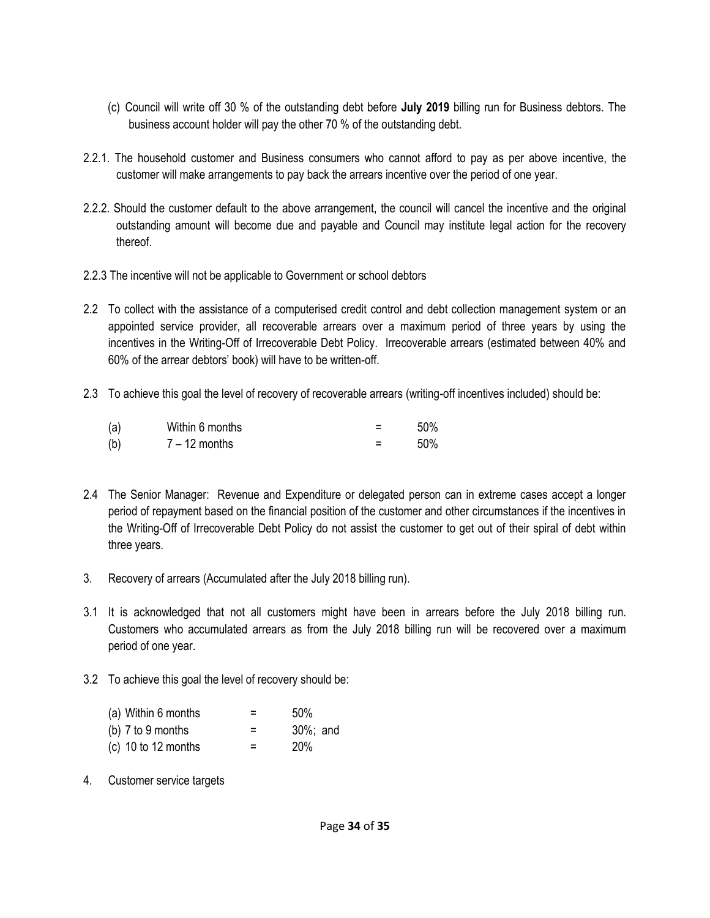- (c) Council will write off 30 % of the outstanding debt before **July 2019** billing run for Business debtors. The business account holder will pay the other 70 % of the outstanding debt.
- 2.2.1. The household customer and Business consumers who cannot afford to pay as per above incentive, the customer will make arrangements to pay back the arrears incentive over the period of one year.
- 2.2.2. Should the customer default to the above arrangement, the council will cancel the incentive and the original outstanding amount will become due and payable and Council may institute legal action for the recovery thereof.
- 2.2.3 The incentive will not be applicable to Government or school debtors
- 2.2 To collect with the assistance of a computerised credit control and debt collection management system or an appointed service provider, all recoverable arrears over a maximum period of three years by using the incentives in the Writing-Off of Irrecoverable Debt Policy. Irrecoverable arrears (estimated between 40% and 60% of the arrear debtors' book) will have to be written-off.
- 2.3 To achieve this goal the level of recovery of recoverable arrears (writing-off incentives included) should be:

| (a) | Within 6 months | 50% |
|-----|-----------------|-----|
| (b) | $7 - 12$ months | 50% |

- 2.4 The Senior Manager: Revenue and Expenditure or delegated person can in extreme cases accept a longer period of repayment based on the financial position of the customer and other circumstances if the incentives in the Writing-Off of Irrecoverable Debt Policy do not assist the customer to get out of their spiral of debt within three years.
- 3. Recovery of arrears (Accumulated after the July 2018 billing run).
- 3.1 It is acknowledged that not all customers might have been in arrears before the July 2018 billing run. Customers who accumulated arrears as from the July 2018 billing run will be recovered over a maximum period of one year.
- 3.2 To achieve this goal the level of recovery should be:

| (a) Within 6 months   | = | 50%      |
|-----------------------|---|----------|
| (b) $7$ to $9$ months | = | 30%; and |
| (c) 10 to 12 months   | = | 20%      |

4. Customer service targets